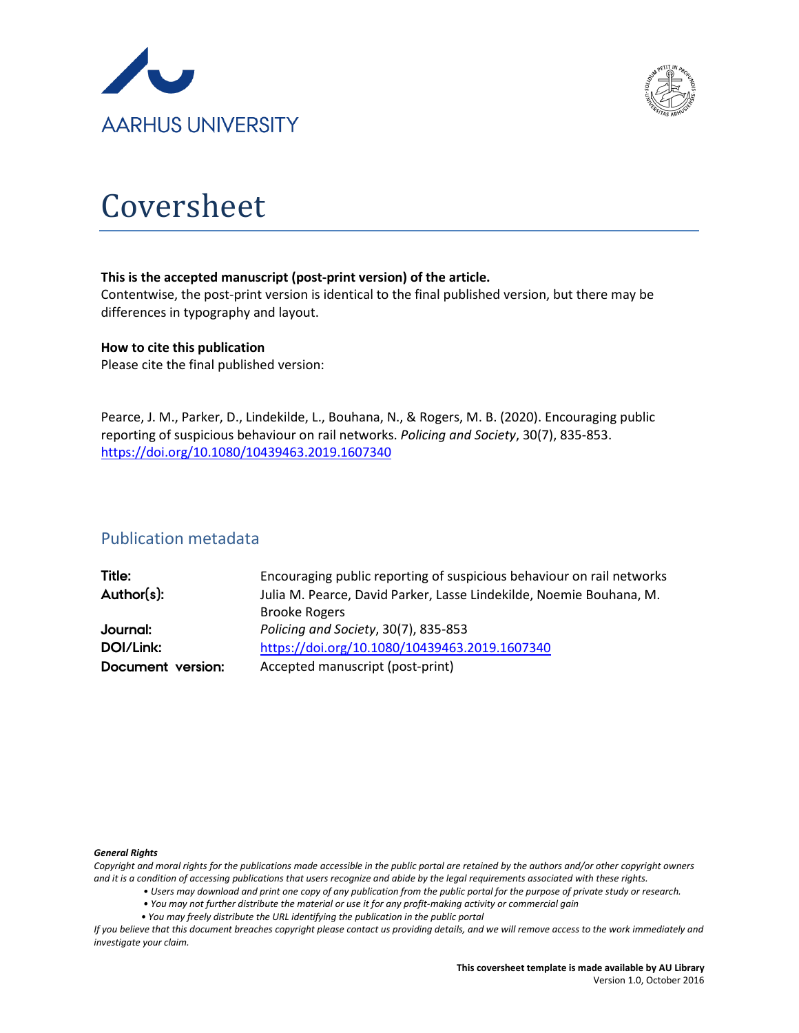



# Coversheet

#### **This is the accepted manuscript (post-print version) of the article.**

Contentwise, the post-print version is identical to the final published version, but there may be differences in typography and layout.

#### **How to cite this publication**

Please cite the final published version:

Pearce, J. M., Parker, D., Lindekilde, L., Bouhana, N., & Rogers, M. B. (2020). Encouraging public reporting of suspicious behaviour on rail networks. *Policing and Society*, 30(7), 835-853. <https://doi.org/10.1080/10439463.2019.1607340>

## Publication metadata

| Title:            | Encouraging public reporting of suspicious behaviour on rail networks |
|-------------------|-----------------------------------------------------------------------|
| Author(s):        | Julia M. Pearce, David Parker, Lasse Lindekilde, Noemie Bouhana, M.   |
|                   | <b>Brooke Rogers</b>                                                  |
| Journal:          | Policing and Society, 30(7), 835-853                                  |
| DOI/Link:         | https://doi.org/10.1080/10439463.2019.1607340                         |
| Document version: | Accepted manuscript (post-print)                                      |

#### *General Rights*

*Copyright and moral rights for the publications made accessible in the public portal are retained by the authors and/or other copyright owners and it is a condition of accessing publications that users recognize and abide by the legal requirements associated with these rights.*

- *Users may download and print one copy of any publication from the public portal for the purpose of private study or research.*
- *You may not further distribute the material or use it for any profit-making activity or commercial gain*
- *You may freely distribute the URL identifying the publication in the public portal*

*If you believe that this document breaches copyright please contact us providing details, and we will remove access to the work immediately and investigate your claim.*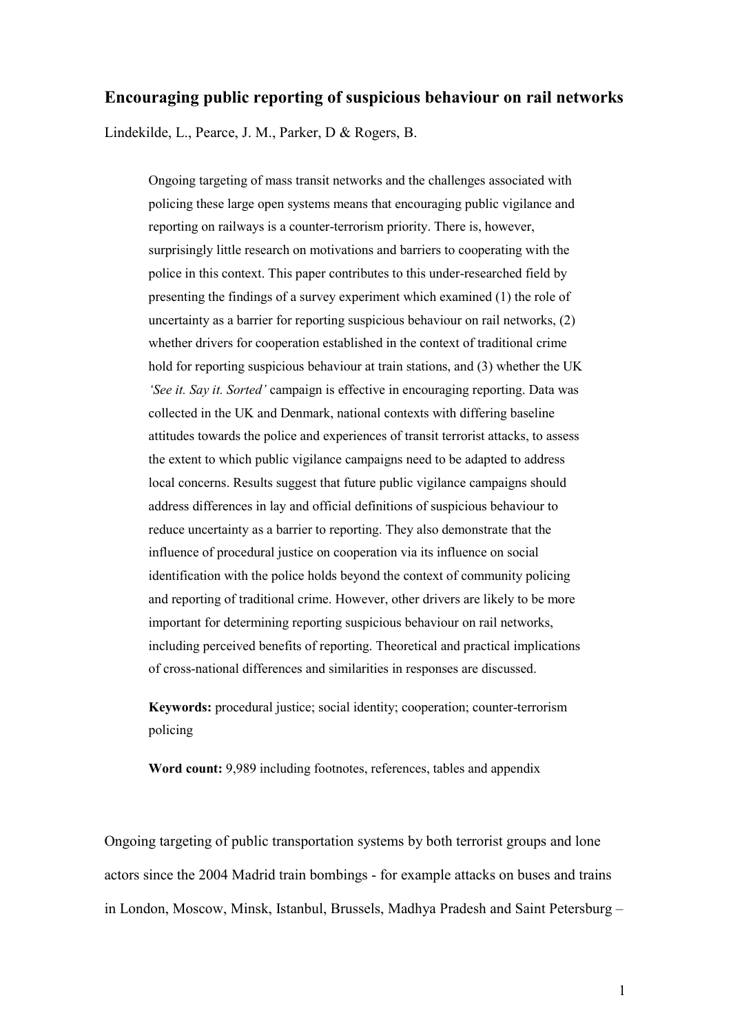## **Encouraging public reporting of suspicious behaviour on rail networks**

Lindekilde, L., Pearce, J. M., Parker, D & Rogers, B.

Ongoing targeting of mass transit networks and the challenges associated with policing these large open systems means that encouraging public vigilance and reporting on railways is a counter-terrorism priority. There is, however, surprisingly little research on motivations and barriers to cooperating with the police in this context. This paper contributes to this under-researched field by presenting the findings of a survey experiment which examined (1) the role of uncertainty as a barrier for reporting suspicious behaviour on rail networks, (2) whether drivers for cooperation established in the context of traditional crime hold for reporting suspicious behaviour at train stations, and (3) whether the UK *'See it. Say it. Sorted'* campaign is effective in encouraging reporting. Data was collected in the UK and Denmark, national contexts with differing baseline attitudes towards the police and experiences of transit terrorist attacks, to assess the extent to which public vigilance campaigns need to be adapted to address local concerns. Results suggest that future public vigilance campaigns should address differences in lay and official definitions of suspicious behaviour to reduce uncertainty as a barrier to reporting. They also demonstrate that the influence of procedural justice on cooperation via its influence on social identification with the police holds beyond the context of community policing and reporting of traditional crime. However, other drivers are likely to be more important for determining reporting suspicious behaviour on rail networks, including perceived benefits of reporting. Theoretical and practical implications of cross-national differences and similarities in responses are discussed.

**Keywords:** procedural justice; social identity; cooperation; counter-terrorism policing

**Word count:** 9,989 including footnotes, references, tables and appendix

Ongoing targeting of public transportation systems by both terrorist groups and lone actors since the 2004 Madrid train bombings - for example attacks on buses and trains in London, Moscow, Minsk, Istanbul, Brussels, Madhya Pradesh and Saint Petersburg –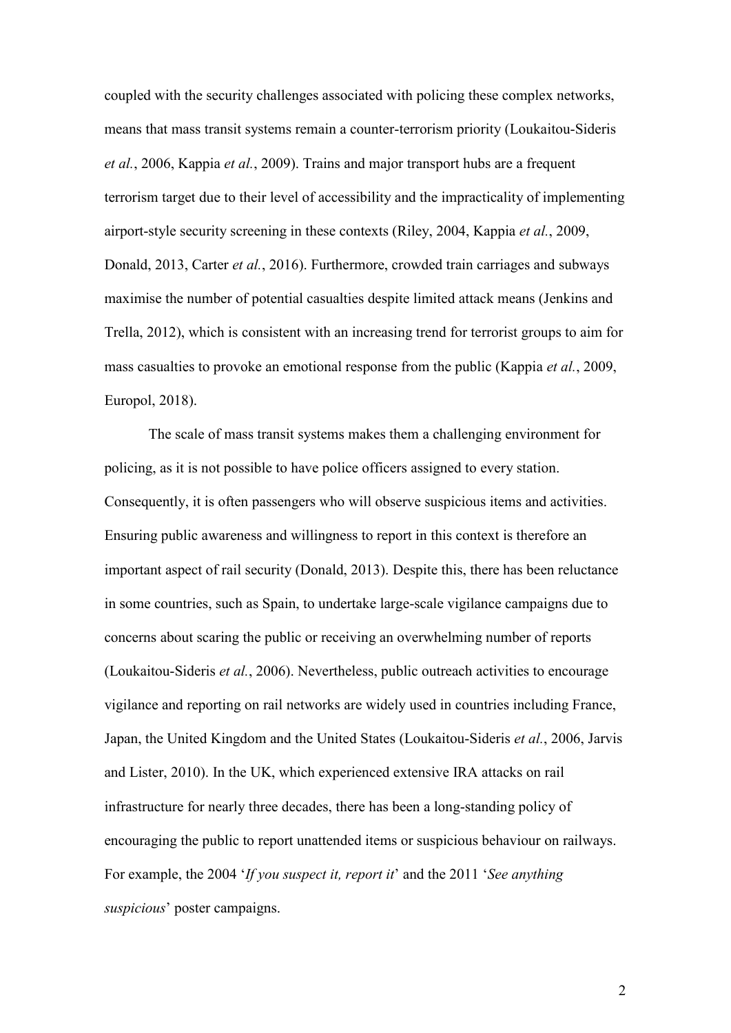coupled with the security challenges associated with policing these complex networks, means that mass transit systems remain a counter-terrorism priority (Loukaitou-Sideris *et al.*, 2006, Kappia *et al.*, 2009). Trains and major transport hubs are a frequent terrorism target due to their level of accessibility and the impracticality of implementing airport-style security screening in these contexts (Riley, 2004, Kappia *et al.*, 2009, Donald, 2013, Carter *et al.*, 2016). Furthermore, crowded train carriages and subways maximise the number of potential casualties despite limited attack means (Jenkins and Trella, 2012), which is consistent with an increasing trend for terrorist groups to aim for mass casualties to provoke an emotional response from the public (Kappia *et al.*, 2009, Europol, 2018).

The scale of mass transit systems makes them a challenging environment for policing, as it is not possible to have police officers assigned to every station. Consequently, it is often passengers who will observe suspicious items and activities. Ensuring public awareness and willingness to report in this context is therefore an important aspect of rail security (Donald, 2013). Despite this, there has been reluctance in some countries, such as Spain, to undertake large-scale vigilance campaigns due to concerns about scaring the public or receiving an overwhelming number of reports (Loukaitou-Sideris *et al.*, 2006). Nevertheless, public outreach activities to encourage vigilance and reporting on rail networks are widely used in countries including France, Japan, the United Kingdom and the United States (Loukaitou-Sideris *et al.*, 2006, Jarvis and Lister, 2010). In the UK, which experienced extensive IRA attacks on rail infrastructure for nearly three decades, there has been a long-standing policy of encouraging the public to report unattended items or suspicious behaviour on railways. For example, the 2004 '*If you suspect it, report it*' and the 2011 '*See anything suspicious*' poster campaigns.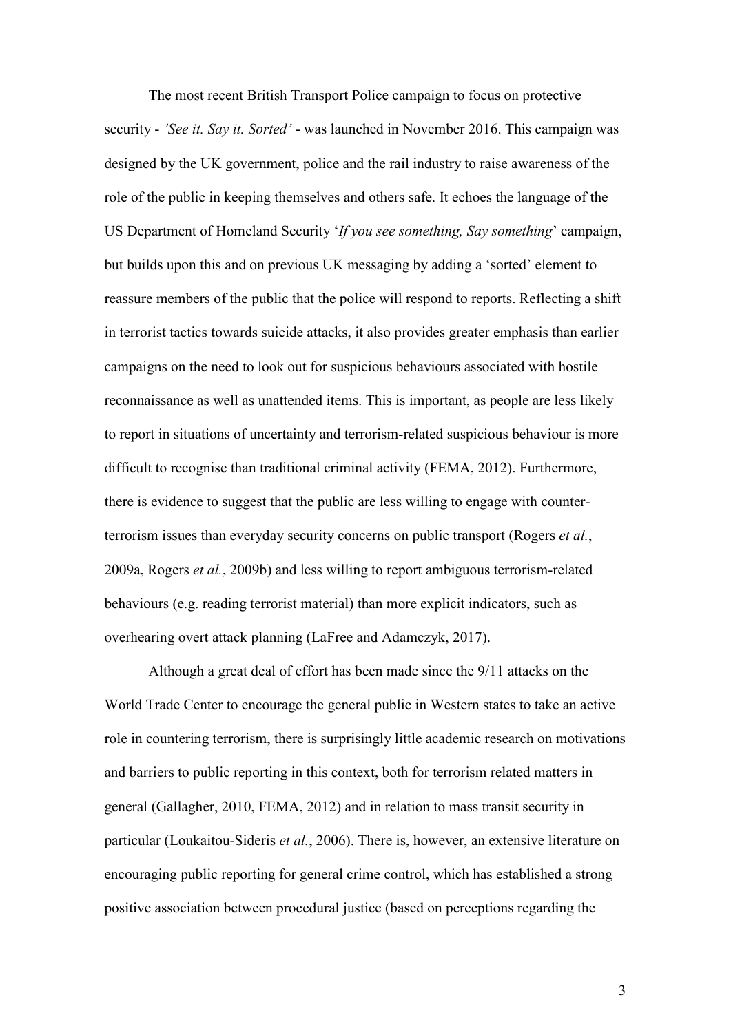The most recent British Transport Police campaign to focus on protective security - *'See it. Say it. Sorted'* - was launched in November 2016. This campaign was designed by the UK government, police and the rail industry to raise awareness of the role of the public in keeping themselves and others safe. It echoes the language of the US Department of Homeland Security '*If you see something, Say something*' campaign, but builds upon this and on previous UK messaging by adding a 'sorted' element to reassure members of the public that the police will respond to reports. Reflecting a shift in terrorist tactics towards suicide attacks, it also provides greater emphasis than earlier campaigns on the need to look out for suspicious behaviours associated with hostile reconnaissance as well as unattended items. This is important, as people are less likely to report in situations of uncertainty and terrorism-related suspicious behaviour is more difficult to recognise than traditional criminal activity (FEMA, 2012). Furthermore, there is evidence to suggest that the public are less willing to engage with counterterrorism issues than everyday security concerns on public transport (Rogers *et al.*, 2009a, Rogers *et al.*, 2009b) and less willing to report ambiguous terrorism-related behaviours (e.g. reading terrorist material) than more explicit indicators, such as overhearing overt attack planning (LaFree and Adamczyk, 2017).

Although a great deal of effort has been made since the 9/11 attacks on the World Trade Center to encourage the general public in Western states to take an active role in countering terrorism, there is surprisingly little academic research on motivations and barriers to public reporting in this context, both for terrorism related matters in general (Gallagher, 2010, FEMA, 2012) and in relation to mass transit security in particular (Loukaitou-Sideris *et al.*, 2006). There is, however, an extensive literature on encouraging public reporting for general crime control, which has established a strong positive association between procedural justice (based on perceptions regarding the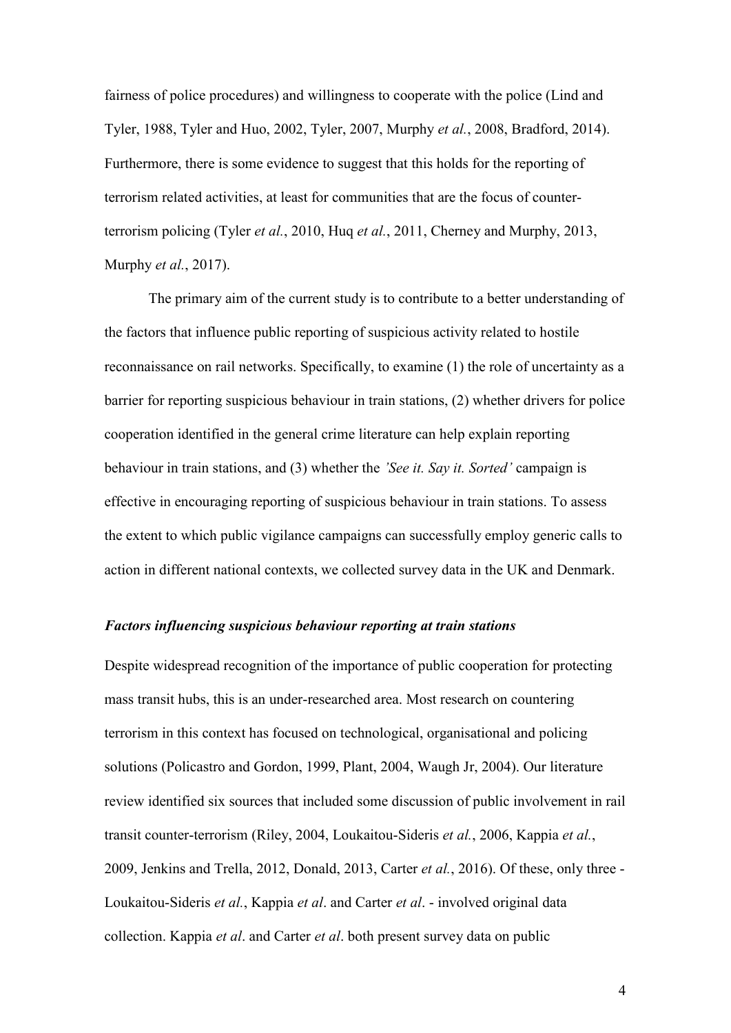fairness of police procedures) and willingness to cooperate with the police (Lind and Tyler, 1988, Tyler and Huo, 2002, Tyler, 2007, Murphy *et al.*, 2008, Bradford, 2014). Furthermore, there is some evidence to suggest that this holds for the reporting of terrorism related activities, at least for communities that are the focus of counterterrorism policing (Tyler *et al.*, 2010, Huq *et al.*, 2011, Cherney and Murphy, 2013, Murphy *et al.*, 2017).

The primary aim of the current study is to contribute to a better understanding of the factors that influence public reporting of suspicious activity related to hostile reconnaissance on rail networks. Specifically, to examine (1) the role of uncertainty as a barrier for reporting suspicious behaviour in train stations, (2) whether drivers for police cooperation identified in the general crime literature can help explain reporting behaviour in train stations, and (3) whether the *'See it. Say it. Sorted'* campaign is effective in encouraging reporting of suspicious behaviour in train stations. To assess the extent to which public vigilance campaigns can successfully employ generic calls to action in different national contexts, we collected survey data in the UK and Denmark.

#### *Factors influencing suspicious behaviour reporting at train stations*

Despite widespread recognition of the importance of public cooperation for protecting mass transit hubs, this is an under-researched area. Most research on countering terrorism in this context has focused on technological, organisational and policing solutions (Policastro and Gordon, 1999, Plant, 2004, Waugh Jr, 2004). Our literature review identified six sources that included some discussion of public involvement in rail transit counter-terrorism (Riley, 2004, Loukaitou-Sideris *et al.*, 2006, Kappia *et al.*, 2009, Jenkins and Trella, 2012, Donald, 2013, Carter *et al.*, 2016). Of these, only three - Loukaitou-Sideris *et al.*, Kappia *et al*. and Carter *et al*. - involved original data collection. Kappia *et al*. and Carter *et al*. both present survey data on public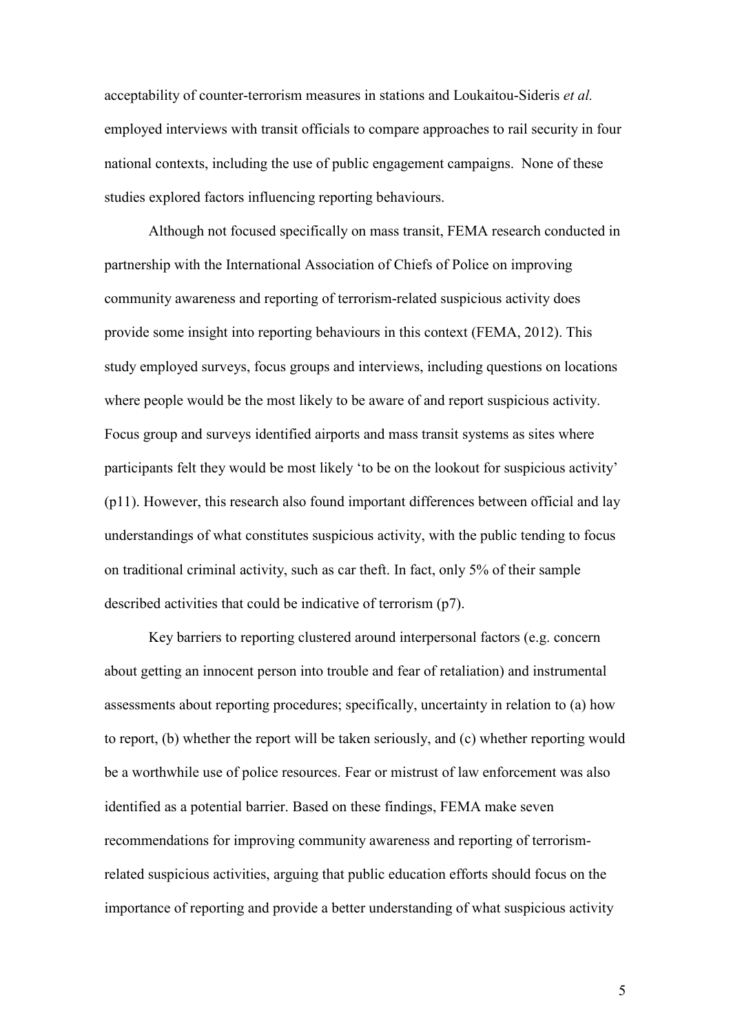acceptability of counter-terrorism measures in stations and Loukaitou-Sideris *et al.* employed interviews with transit officials to compare approaches to rail security in four national contexts, including the use of public engagement campaigns. None of these studies explored factors influencing reporting behaviours.

Although not focused specifically on mass transit, FEMA research conducted in partnership with the International Association of Chiefs of Police on improving community awareness and reporting of terrorism-related suspicious activity does provide some insight into reporting behaviours in this context (FEMA, 2012). This study employed surveys, focus groups and interviews, including questions on locations where people would be the most likely to be aware of and report suspicious activity. Focus group and surveys identified airports and mass transit systems as sites where participants felt they would be most likely 'to be on the lookout for suspicious activity' (p11). However, this research also found important differences between official and lay understandings of what constitutes suspicious activity, with the public tending to focus on traditional criminal activity, such as car theft. In fact, only 5% of their sample described activities that could be indicative of terrorism (p7).

Key barriers to reporting clustered around interpersonal factors (e.g. concern about getting an innocent person into trouble and fear of retaliation) and instrumental assessments about reporting procedures; specifically, uncertainty in relation to (a) how to report, (b) whether the report will be taken seriously, and (c) whether reporting would be a worthwhile use of police resources. Fear or mistrust of law enforcement was also identified as a potential barrier. Based on these findings, FEMA make seven recommendations for improving community awareness and reporting of terrorismrelated suspicious activities, arguing that public education efforts should focus on the importance of reporting and provide a better understanding of what suspicious activity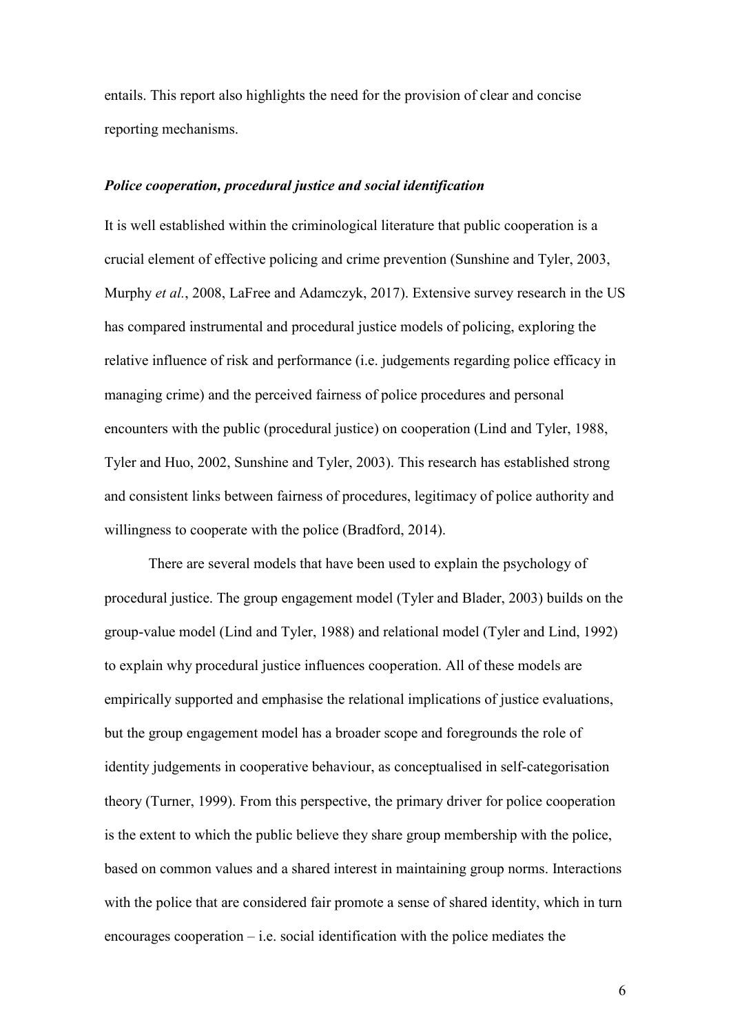entails. This report also highlights the need for the provision of clear and concise reporting mechanisms.

#### *Police cooperation, procedural justice and social identification*

It is well established within the criminological literature that public cooperation is a crucial element of effective policing and crime prevention (Sunshine and Tyler, 2003, Murphy *et al.*, 2008, LaFree and Adamczyk, 2017). Extensive survey research in the US has compared instrumental and procedural justice models of policing, exploring the relative influence of risk and performance (i.e. judgements regarding police efficacy in managing crime) and the perceived fairness of police procedures and personal encounters with the public (procedural justice) on cooperation (Lind and Tyler, 1988, Tyler and Huo, 2002, Sunshine and Tyler, 2003). This research has established strong and consistent links between fairness of procedures, legitimacy of police authority and willingness to cooperate with the police (Bradford, 2014).

There are several models that have been used to explain the psychology of procedural justice. The group engagement model (Tyler and Blader, 2003) builds on the group-value model (Lind and Tyler, 1988) and relational model (Tyler and Lind, 1992) to explain why procedural justice influences cooperation. All of these models are empirically supported and emphasise the relational implications of justice evaluations, but the group engagement model has a broader scope and foregrounds the role of identity judgements in cooperative behaviour, as conceptualised in self-categorisation theory (Turner, 1999). From this perspective, the primary driver for police cooperation is the extent to which the public believe they share group membership with the police, based on common values and a shared interest in maintaining group norms. Interactions with the police that are considered fair promote a sense of shared identity, which in turn encourages cooperation  $-$  i.e. social identification with the police mediates the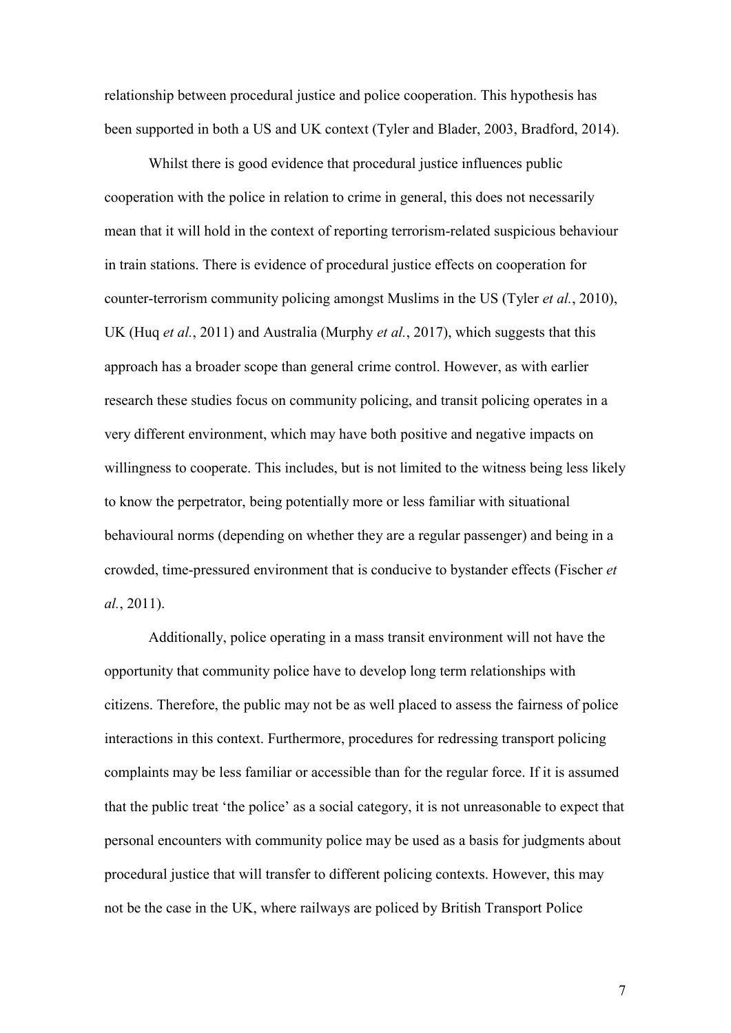relationship between procedural justice and police cooperation. This hypothesis has been supported in both a US and UK context (Tyler and Blader, 2003, Bradford, 2014).

Whilst there is good evidence that procedural justice influences public cooperation with the police in relation to crime in general, this does not necessarily mean that it will hold in the context of reporting terrorism-related suspicious behaviour in train stations. There is evidence of procedural justice effects on cooperation for counter-terrorism community policing amongst Muslims in the US (Tyler *et al.*, 2010), UK (Huq *et al.*, 2011) and Australia (Murphy *et al.*, 2017), which suggests that this approach has a broader scope than general crime control. However, as with earlier research these studies focus on community policing, and transit policing operates in a very different environment, which may have both positive and negative impacts on willingness to cooperate. This includes, but is not limited to the witness being less likely to know the perpetrator, being potentially more or less familiar with situational behavioural norms (depending on whether they are a regular passenger) and being in a crowded, time-pressured environment that is conducive to bystander effects (Fischer *et al.*, 2011).

Additionally, police operating in a mass transit environment will not have the opportunity that community police have to develop long term relationships with citizens. Therefore, the public may not be as well placed to assess the fairness of police interactions in this context. Furthermore, procedures for redressing transport policing complaints may be less familiar or accessible than for the regular force. If it is assumed that the public treat 'the police' as a social category, it is not unreasonable to expect that personal encounters with community police may be used as a basis for judgments about procedural justice that will transfer to different policing contexts. However, this may not be the case in the UK, where railways are policed by British Transport Police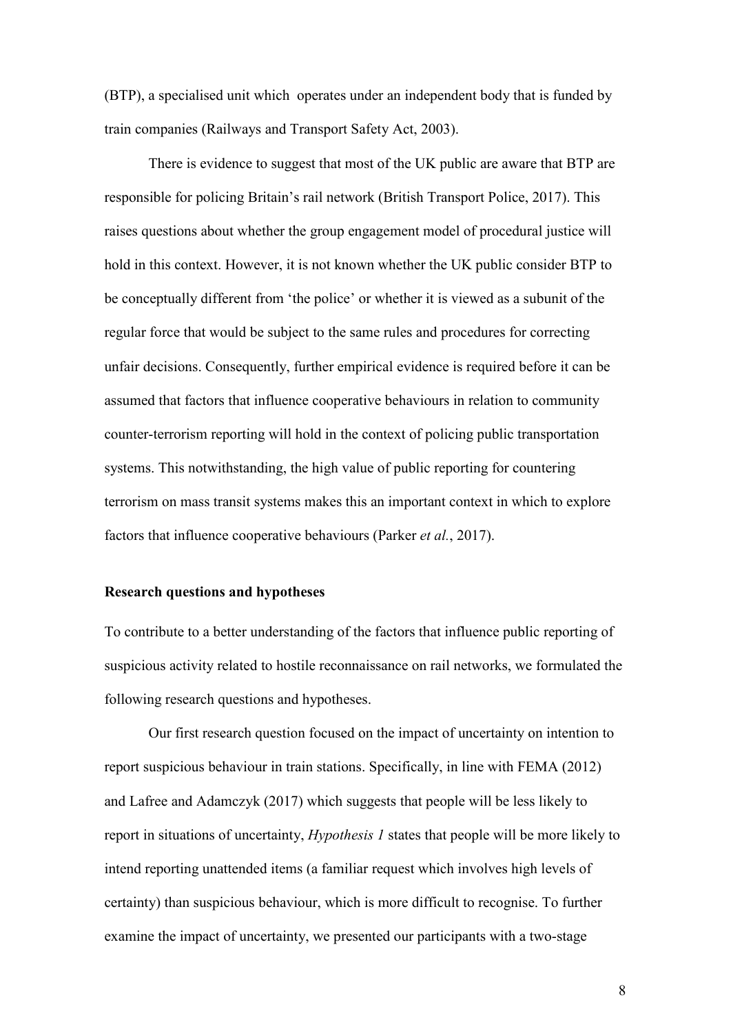(BTP), a specialised unit which operates under an independent body that is funded by train companies (Railways and Transport Safety Act, 2003).

There is evidence to suggest that most of the UK public are aware that BTP are responsible for policing Britain's rail network (British Transport Police, 2017). This raises questions about whether the group engagement model of procedural justice will hold in this context. However, it is not known whether the UK public consider BTP to be conceptually different from 'the police' or whether it is viewed as a subunit of the regular force that would be subject to the same rules and procedures for correcting unfair decisions. Consequently, further empirical evidence is required before it can be assumed that factors that influence cooperative behaviours in relation to community counter-terrorism reporting will hold in the context of policing public transportation systems. This notwithstanding, the high value of public reporting for countering terrorism on mass transit systems makes this an important context in which to explore factors that influence cooperative behaviours (Parker *et al.*, 2017).

#### **Research questions and hypotheses**

To contribute to a better understanding of the factors that influence public reporting of suspicious activity related to hostile reconnaissance on rail networks, we formulated the following research questions and hypotheses.

Our first research question focused on the impact of uncertainty on intention to report suspicious behaviour in train stations. Specifically, in line with FEMA (2012) and Lafree and Adamczyk (2017) which suggests that people will be less likely to report in situations of uncertainty, *Hypothesis 1* states that people will be more likely to intend reporting unattended items (a familiar request which involves high levels of certainty) than suspicious behaviour, which is more difficult to recognise. To further examine the impact of uncertainty, we presented our participants with a two-stage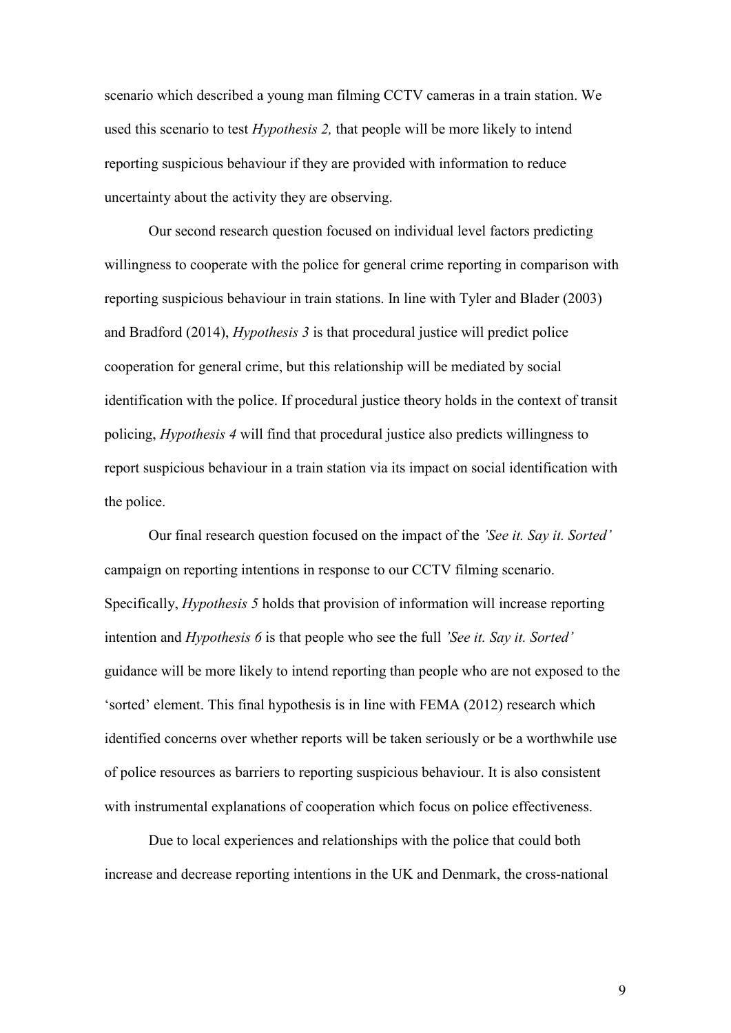scenario which described a young man filming CCTV cameras in a train station. We used this scenario to test *Hypothesis 2,* that people will be more likely to intend reporting suspicious behaviour if they are provided with information to reduce uncertainty about the activity they are observing.

Our second research question focused on individual level factors predicting willingness to cooperate with the police for general crime reporting in comparison with reporting suspicious behaviour in train stations. In line with Tyler and Blader (2003) and Bradford (2014), *Hypothesis 3* is that procedural justice will predict police cooperation for general crime, but this relationship will be mediated by social identification with the police. If procedural justice theory holds in the context of transit policing, *Hypothesis 4* will find that procedural justice also predicts willingness to report suspicious behaviour in a train station via its impact on social identification with the police.

Our final research question focused on the impact of the *'See it. Say it. Sorted'* campaign on reporting intentions in response to our CCTV filming scenario. Specifically, *Hypothesis 5* holds that provision of information will increase reporting intention and *Hypothesis 6* is that people who see the full *'See it. Say it. Sorted'* guidance will be more likely to intend reporting than people who are not exposed to the 'sorted' element. This final hypothesis is in line with FEMA (2012) research which identified concerns over whether reports will be taken seriously or be a worthwhile use of police resources as barriers to reporting suspicious behaviour. It is also consistent with instrumental explanations of cooperation which focus on police effectiveness.

Due to local experiences and relationships with the police that could both increase and decrease reporting intentions in the UK and Denmark, the cross-national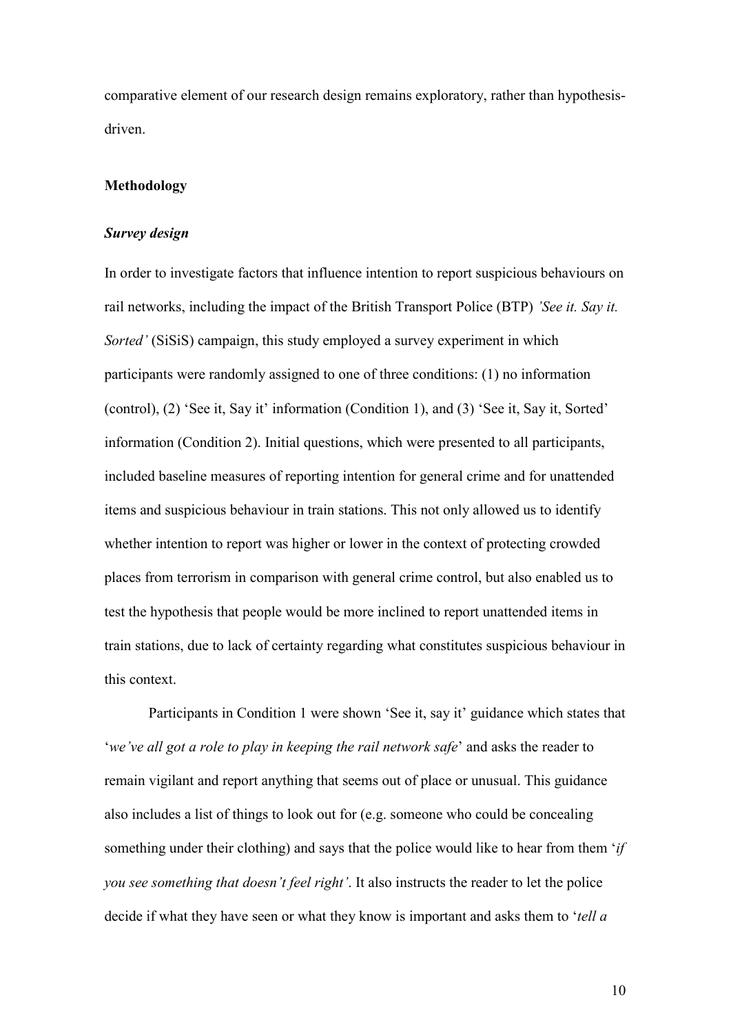comparative element of our research design remains exploratory, rather than hypothesisdriven.

#### **Methodology**

#### *Survey design*

In order to investigate factors that influence intention to report suspicious behaviours on rail networks, including the impact of the British Transport Police (BTP) *'See it. Say it. Sorted'* (SiSiS) campaign, this study employed a survey experiment in which participants were randomly assigned to one of three conditions: (1) no information (control), (2) 'See it, Say it' information (Condition 1), and (3) 'See it, Say it, Sorted' information (Condition 2). Initial questions, which were presented to all participants, included baseline measures of reporting intention for general crime and for unattended items and suspicious behaviour in train stations. This not only allowed us to identify whether intention to report was higher or lower in the context of protecting crowded places from terrorism in comparison with general crime control, but also enabled us to test the hypothesis that people would be more inclined to report unattended items in train stations, due to lack of certainty regarding what constitutes suspicious behaviour in this context.

Participants in Condition 1 were shown 'See it, say it' guidance which states that '*we've all got a role to play in keeping the rail network safe*' and asks the reader to remain vigilant and report anything that seems out of place or unusual. This guidance also includes a list of things to look out for (e.g. someone who could be concealing something under their clothing) and says that the police would like to hear from them '*if you see something that doesn't feel right'*. It also instructs the reader to let the police decide if what they have seen or what they know is important and asks them to '*tell a*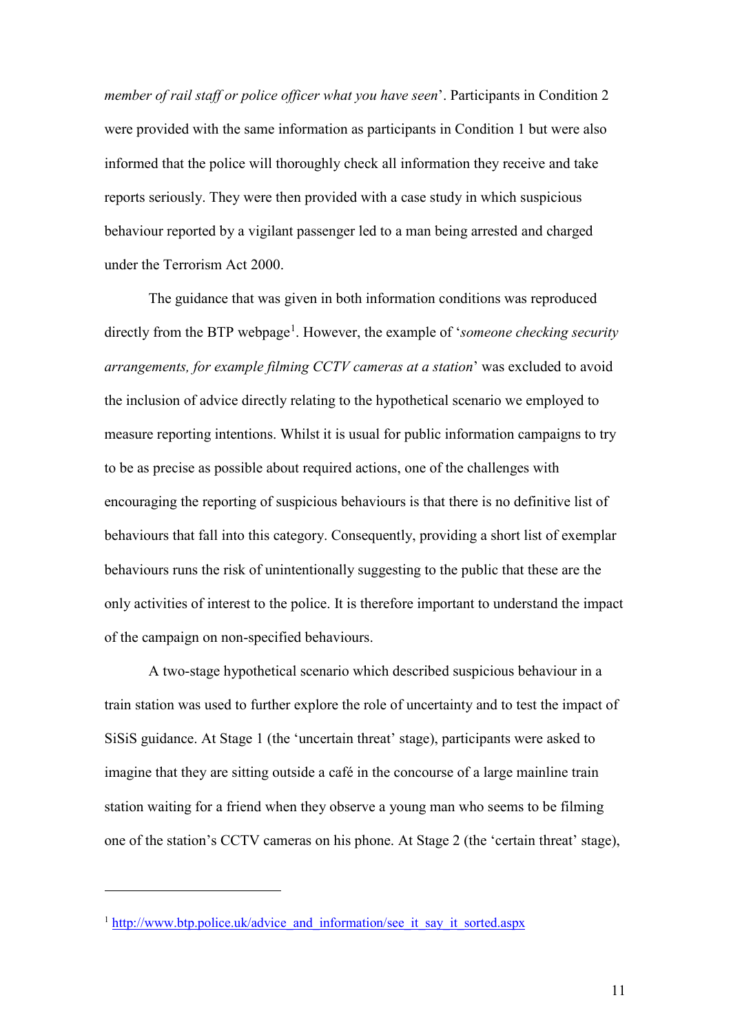*member of rail staff or police officer what you have seen*'. Participants in Condition 2 were provided with the same information as participants in Condition 1 but were also informed that the police will thoroughly check all information they receive and take reports seriously. They were then provided with a case study in which suspicious behaviour reported by a vigilant passenger led to a man being arrested and charged under the Terrorism Act 2000.

The guidance that was given in both information conditions was reproduced directly from the BTP webpage<sup>[1](#page-11-0)</sup>. However, the example of '*someone checking security arrangements, for example filming CCTV cameras at a station*' was excluded to avoid the inclusion of advice directly relating to the hypothetical scenario we employed to measure reporting intentions. Whilst it is usual for public information campaigns to try to be as precise as possible about required actions, one of the challenges with encouraging the reporting of suspicious behaviours is that there is no definitive list of behaviours that fall into this category. Consequently, providing a short list of exemplar behaviours runs the risk of unintentionally suggesting to the public that these are the only activities of interest to the police. It is therefore important to understand the impact of the campaign on non-specified behaviours.

A two-stage hypothetical scenario which described suspicious behaviour in a train station was used to further explore the role of uncertainty and to test the impact of SiSiS guidance. At Stage 1 (the 'uncertain threat' stage), participants were asked to imagine that they are sitting outside a café in the concourse of a large mainline train station waiting for a friend when they observe a young man who seems to be filming one of the station's CCTV cameras on his phone. At Stage 2 (the 'certain threat' stage),

 $\overline{a}$ 

<span id="page-11-0"></span><sup>&</sup>lt;sup>1</sup> http://www.btp.police.uk/advice and information/see it say it sorted.aspx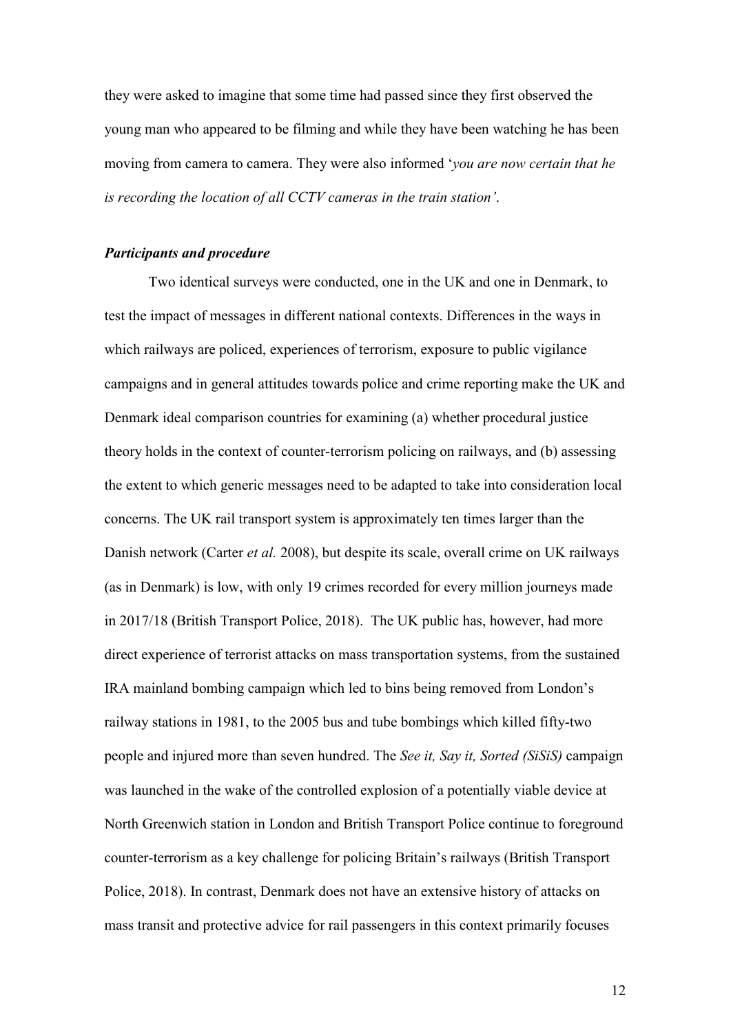they were asked to imagine that some time had passed since they first observed the young man who appeared to be filming and while they have been watching he has been moving from camera to camera. They were also informed '*you are now certain that he is recording the location of all CCTV cameras in the train station'*.

#### *Participants and procedure*

Two identical surveys were conducted, one in the UK and one in Denmark, to test the impact of messages in different national contexts. Differences in the ways in which railways are policed, experiences of terrorism, exposure to public vigilance campaigns and in general attitudes towards police and crime reporting make the UK and Denmark ideal comparison countries for examining (a) whether procedural justice theory holds in the context of counter-terrorism policing on railways, and (b) assessing the extent to which generic messages need to be adapted to take into consideration local concerns. The UK rail transport system is approximately ten times larger than the Danish network (Carter *et al.* 2008), but despite its scale, overall crime on UK railways (as in Denmark) is low, with only 19 crimes recorded for every million journeys made in 2017/18 (British Transport Police, 2018). The UK public has, however, had more direct experience of terrorist attacks on mass transportation systems, from the sustained IRA mainland bombing campaign which led to bins being removed from London's railway stations in 1981, to the 2005 bus and tube bombings which killed fifty-two people and injured more than seven hundred. The *See it, Say it, Sorted (SiSiS)* campaign was launched in the wake of the controlled explosion of a potentially viable device at North Greenwich station in London and British Transport Police continue to foreground counter-terrorism as a key challenge for policing Britain's railways (British Transport Police, 2018). In contrast, Denmark does not have an extensive history of attacks on mass transit and protective advice for rail passengers in this context primarily focuses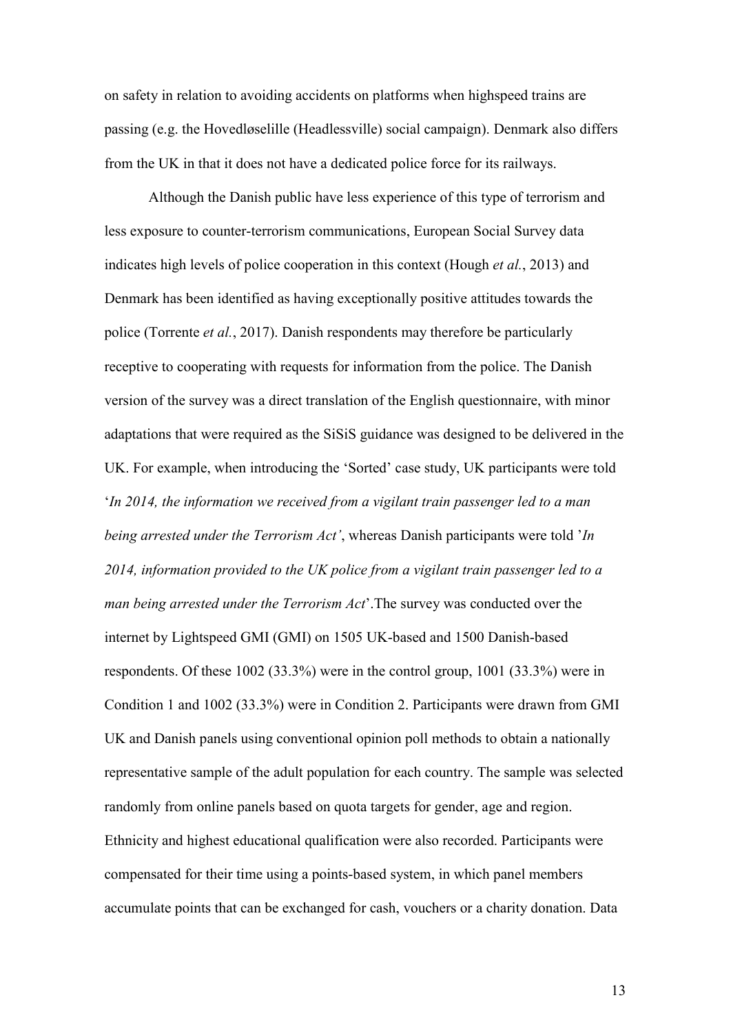on safety in relation to avoiding accidents on platforms when highspeed trains are passing (e.g. the Hovedløselille (Headlessville) social campaign). Denmark also differs from the UK in that it does not have a dedicated police force for its railways.

Although the Danish public have less experience of this type of terrorism and less exposure to counter-terrorism communications, European Social Survey data indicates high levels of police cooperation in this context (Hough *et al.*, 2013) and Denmark has been identified as having exceptionally positive attitudes towards the police (Torrente *et al.*, 2017). Danish respondents may therefore be particularly receptive to cooperating with requests for information from the police. The Danish version of the survey was a direct translation of the English questionnaire, with minor adaptations that were required as the SiSiS guidance was designed to be delivered in the UK. For example, when introducing the 'Sorted' case study, UK participants were told '*In 2014, the information we received from a vigilant train passenger led to a man being arrested under the Terrorism Act'*, whereas Danish participants were told '*In 2014, information provided to the UK police from a vigilant train passenger led to a man being arrested under the Terrorism Act*'.The survey was conducted over the internet by Lightspeed GMI (GMI) on 1505 UK-based and 1500 Danish-based respondents. Of these 1002 (33.3%) were in the control group, 1001 (33.3%) were in Condition 1 and 1002 (33.3%) were in Condition 2. Participants were drawn from GMI UK and Danish panels using conventional opinion poll methods to obtain a nationally representative sample of the adult population for each country. The sample was selected randomly from online panels based on quota targets for gender, age and region. Ethnicity and highest educational qualification were also recorded. Participants were compensated for their time using a points-based system, in which panel members accumulate points that can be exchanged for cash, vouchers or a charity donation. Data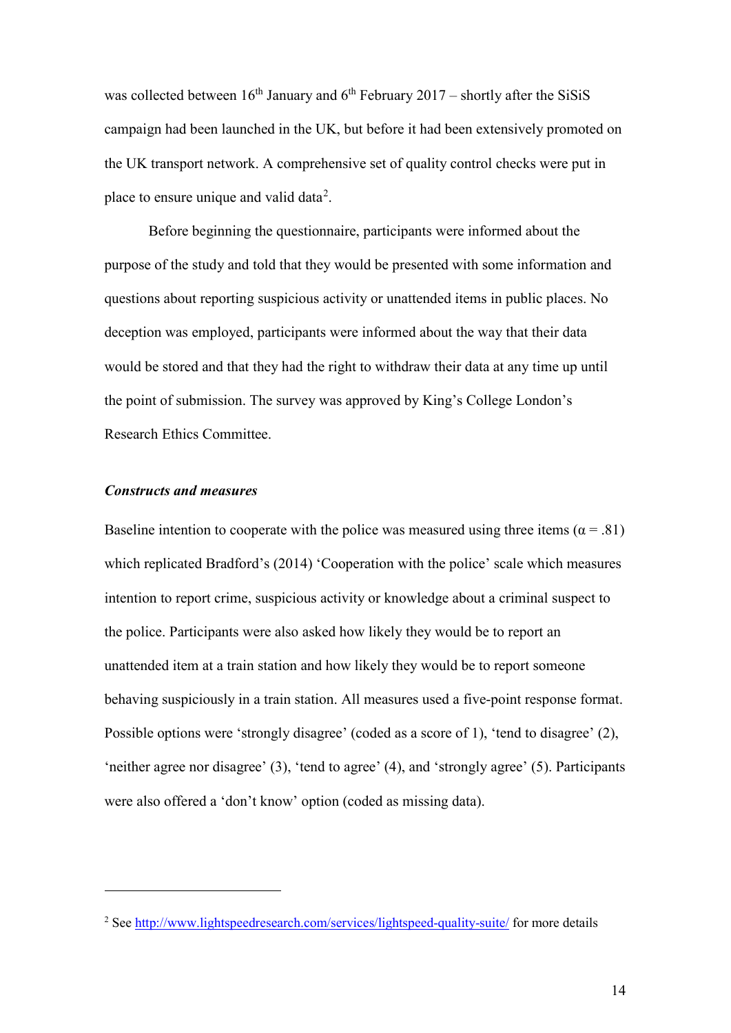was collected between  $16<sup>th</sup>$  January and  $6<sup>th</sup>$  February 2017 – shortly after the SiSiS campaign had been launched in the UK, but before it had been extensively promoted on the UK transport network. A comprehensive set of quality control checks were put in place to ensure unique and valid data<sup>[2](#page-14-0)</sup>.

Before beginning the questionnaire, participants were informed about the purpose of the study and told that they would be presented with some information and questions about reporting suspicious activity or unattended items in public places. No deception was employed, participants were informed about the way that their data would be stored and that they had the right to withdraw their data at any time up until the point of submission. The survey was approved by King's College London's Research Ethics Committee.

#### *Constructs and measures*

 $\overline{a}$ 

Baseline intention to cooperate with the police was measured using three items ( $\alpha$  = .81) which replicated Bradford's (2014) 'Cooperation with the police' scale which measures intention to report crime, suspicious activity or knowledge about a criminal suspect to the police. Participants were also asked how likely they would be to report an unattended item at a train station and how likely they would be to report someone behaving suspiciously in a train station. All measures used a five-point response format. Possible options were 'strongly disagree' (coded as a score of 1), 'tend to disagree' (2), 'neither agree nor disagree' (3), 'tend to agree' (4), and 'strongly agree' (5). Participants were also offered a 'don't know' option (coded as missing data).

<span id="page-14-0"></span><sup>&</sup>lt;sup>2</sup> See<http://www.lightspeedresearch.com/services/lightspeed-quality-suite/> for more details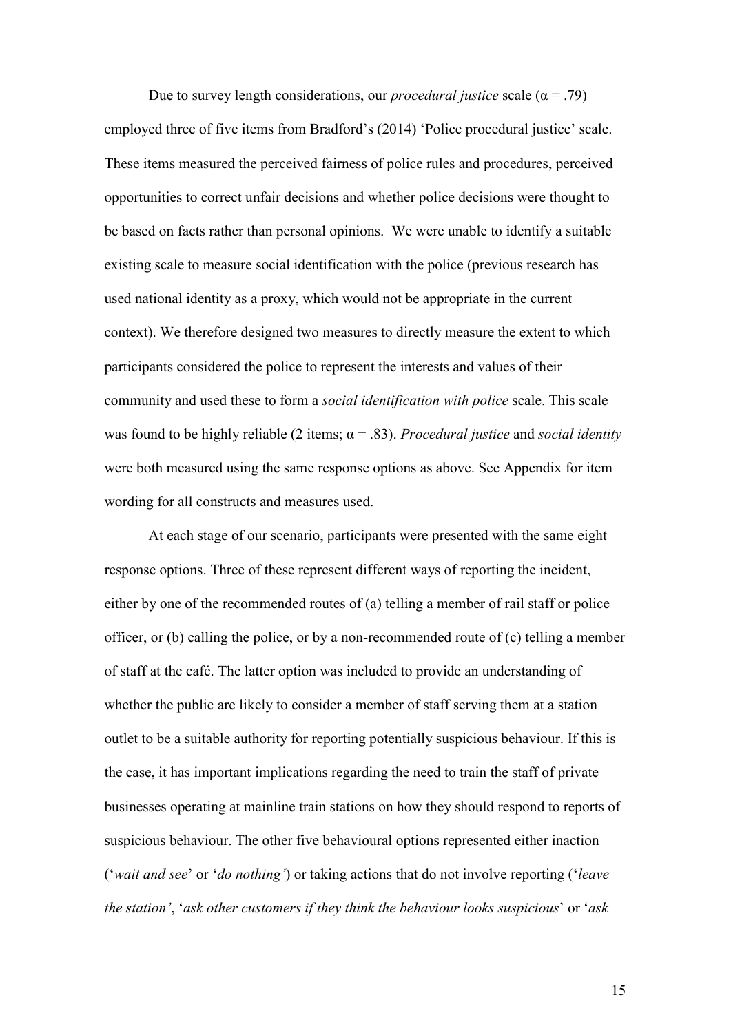Due to survey length considerations, our *procedural justice* scale  $(a = .79)$ employed three of five items from Bradford's (2014) 'Police procedural justice' scale. These items measured the perceived fairness of police rules and procedures, perceived opportunities to correct unfair decisions and whether police decisions were thought to be based on facts rather than personal opinions. We were unable to identify a suitable existing scale to measure social identification with the police (previous research has used national identity as a proxy, which would not be appropriate in the current context). We therefore designed two measures to directly measure the extent to which participants considered the police to represent the interests and values of their community and used these to form a *social identification with police* scale. This scale was found to be highly reliable (2 items; α = .83). *Procedural justice* and *social identity* were both measured using the same response options as above. See Appendix for item wording for all constructs and measures used.

At each stage of our scenario, participants were presented with the same eight response options. Three of these represent different ways of reporting the incident, either by one of the recommended routes of (a) telling a member of rail staff or police officer, or (b) calling the police, or by a non-recommended route of (c) telling a member of staff at the café. The latter option was included to provide an understanding of whether the public are likely to consider a member of staff serving them at a station outlet to be a suitable authority for reporting potentially suspicious behaviour. If this is the case, it has important implications regarding the need to train the staff of private businesses operating at mainline train stations on how they should respond to reports of suspicious behaviour. The other five behavioural options represented either inaction ('*wait and see*' or '*do nothing'*) or taking actions that do not involve reporting ('*leave the station'*, '*ask other customers if they think the behaviour looks suspicious*' or '*ask*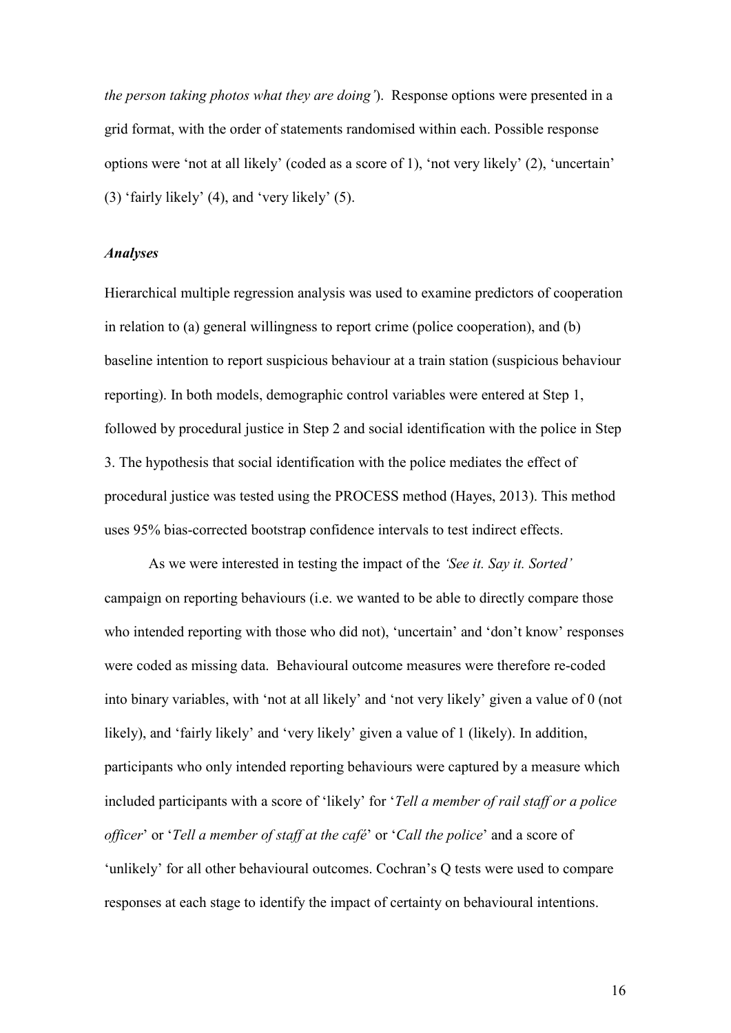*the person taking photos what they are doing'*). Response options were presented in a grid format, with the order of statements randomised within each. Possible response options were 'not at all likely' (coded as a score of 1), 'not very likely' (2), 'uncertain' (3) 'fairly likely' (4), and 'very likely' (5).

#### *Analyses*

Hierarchical multiple regression analysis was used to examine predictors of cooperation in relation to (a) general willingness to report crime (police cooperation), and (b) baseline intention to report suspicious behaviour at a train station (suspicious behaviour reporting). In both models, demographic control variables were entered at Step 1, followed by procedural justice in Step 2 and social identification with the police in Step 3. The hypothesis that social identification with the police mediates the effect of procedural justice was tested using the PROCESS method (Hayes, 2013). This method uses 95% bias-corrected bootstrap confidence intervals to test indirect effects.

As we were interested in testing the impact of the *'See it. Say it. Sorted'* campaign on reporting behaviours (i.e. we wanted to be able to directly compare those who intended reporting with those who did not), 'uncertain' and 'don't know' responses were coded as missing data. Behavioural outcome measures were therefore re-coded into binary variables, with 'not at all likely' and 'not very likely' given a value of 0 (not likely), and 'fairly likely' and 'very likely' given a value of 1 (likely). In addition, participants who only intended reporting behaviours were captured by a measure which included participants with a score of 'likely' for '*Tell a member of rail staff or a police officer*' or '*Tell a member of staff at the café*' or '*Call the police*' and a score of 'unlikely' for all other behavioural outcomes. Cochran's Q tests were used to compare responses at each stage to identify the impact of certainty on behavioural intentions.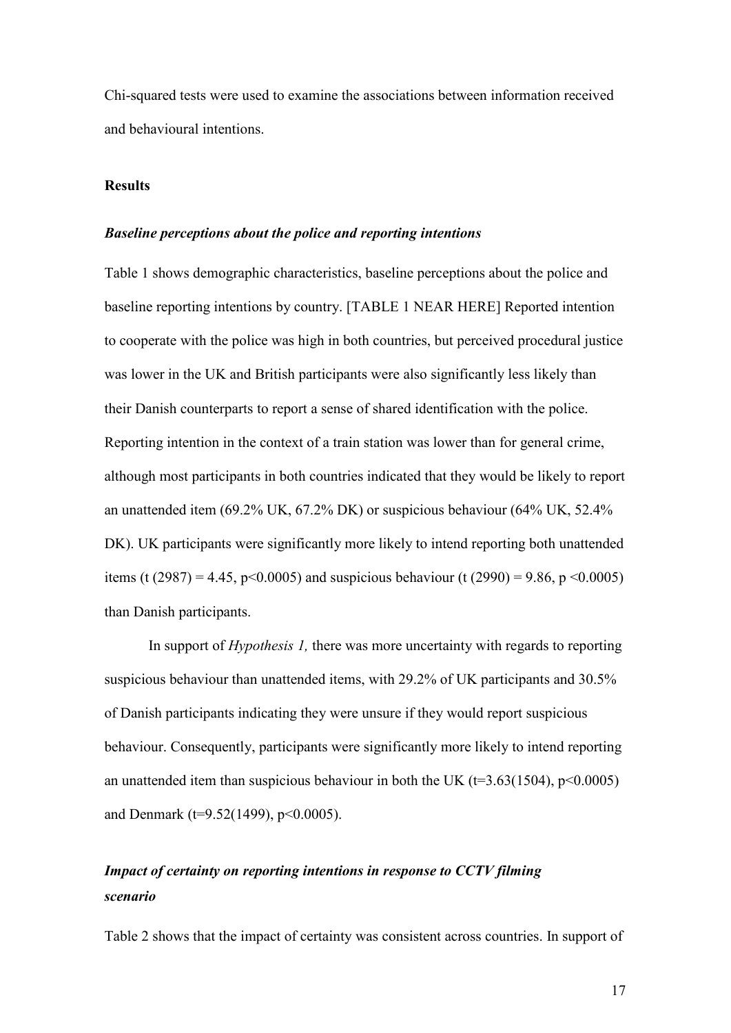Chi-squared tests were used to examine the associations between information received and behavioural intentions.

#### **Results**

#### *Baseline perceptions about the police and reporting intentions*

Table 1 shows demographic characteristics, baseline perceptions about the police and baseline reporting intentions by country. [TABLE 1 NEAR HERE] Reported intention to cooperate with the police was high in both countries, but perceived procedural justice was lower in the UK and British participants were also significantly less likely than their Danish counterparts to report a sense of shared identification with the police. Reporting intention in the context of a train station was lower than for general crime, although most participants in both countries indicated that they would be likely to report an unattended item (69.2% UK, 67.2% DK) or suspicious behaviour (64% UK, 52.4% DK). UK participants were significantly more likely to intend reporting both unattended items (t (2987) = 4.45, p<0.0005) and suspicious behaviour (t (2990) = 9.86, p <0.0005) than Danish participants.

In support of *Hypothesis 1,* there was more uncertainty with regards to reporting suspicious behaviour than unattended items, with 29.2% of UK participants and 30.5% of Danish participants indicating they were unsure if they would report suspicious behaviour. Consequently, participants were significantly more likely to intend reporting an unattended item than suspicious behaviour in both the UK ( $t=3.63(1504)$ ,  $p<0.0005$ ) and Denmark (t=9.52(1499), p<0.0005).

# *Impact of certainty on reporting intentions in response to CCTV filming scenario*

Table 2 shows that the impact of certainty was consistent across countries. In support of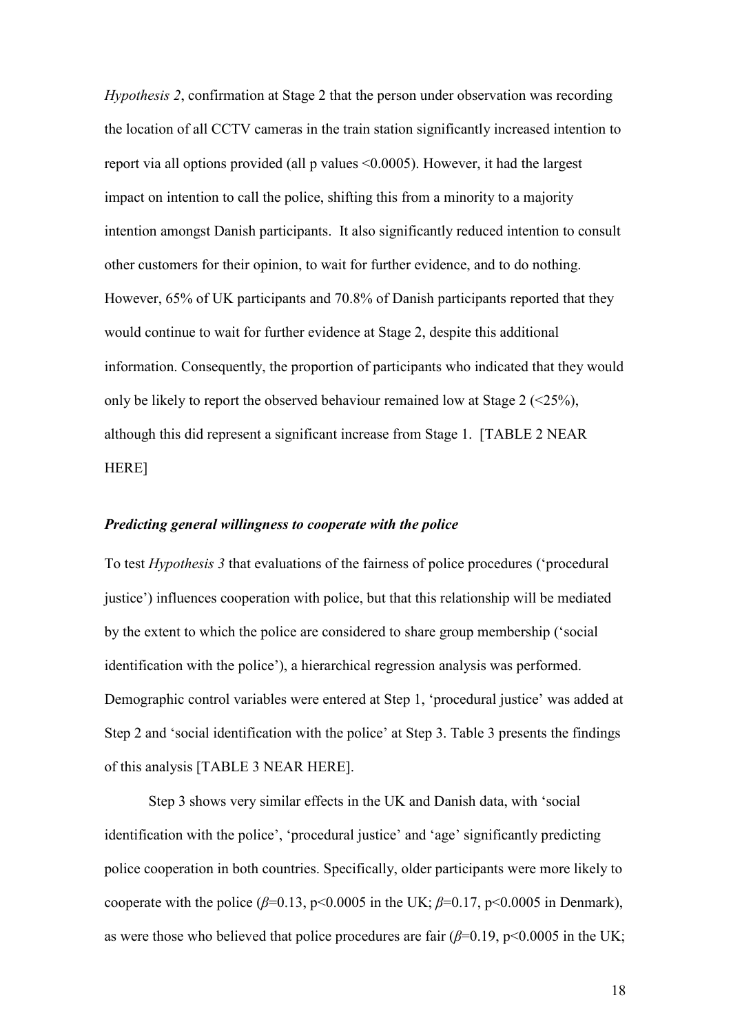*Hypothesis 2*, confirmation at Stage 2 that the person under observation was recording the location of all CCTV cameras in the train station significantly increased intention to report via all options provided (all p values <0.0005). However, it had the largest impact on intention to call the police, shifting this from a minority to a majority intention amongst Danish participants. It also significantly reduced intention to consult other customers for their opinion, to wait for further evidence, and to do nothing. However, 65% of UK participants and 70.8% of Danish participants reported that they would continue to wait for further evidence at Stage 2, despite this additional information. Consequently, the proportion of participants who indicated that they would only be likely to report the observed behaviour remained low at Stage  $2$  ( $\leq$ 25%), although this did represent a significant increase from Stage 1. [TABLE 2 NEAR HERE]

#### *Predicting general willingness to cooperate with the police*

To test *Hypothesis 3* that evaluations of the fairness of police procedures ('procedural justice') influences cooperation with police, but that this relationship will be mediated by the extent to which the police are considered to share group membership ('social identification with the police'), a hierarchical regression analysis was performed. Demographic control variables were entered at Step 1, 'procedural justice' was added at Step 2 and 'social identification with the police' at Step 3. Table 3 presents the findings of this analysis [TABLE 3 NEAR HERE].

Step 3 shows very similar effects in the UK and Danish data, with 'social identification with the police', 'procedural justice' and 'age' significantly predicting police cooperation in both countries. Specifically, older participants were more likely to cooperate with the police ( $\beta$ =0.13, p<0.0005 in the UK;  $\beta$ =0.17, p<0.0005 in Denmark), as were those who believed that police procedures are fair  $(\beta=0.19, p<0.0005$  in the UK;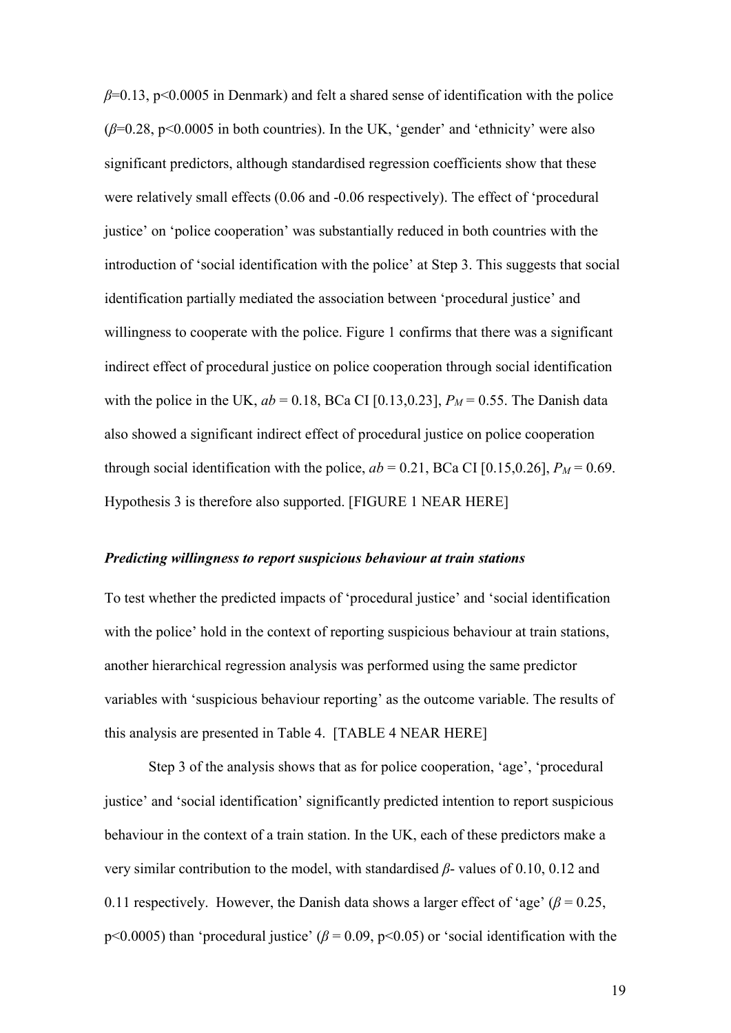*β*=0.13, p<0.0005 in Denmark) and felt a shared sense of identification with the police  $(\beta=0.28, p<0.0005$  in both countries). In the UK, 'gender' and 'ethnicity' were also significant predictors, although standardised regression coefficients show that these were relatively small effects (0.06 and -0.06 respectively). The effect of 'procedural justice' on 'police cooperation' was substantially reduced in both countries with the introduction of 'social identification with the police' at Step 3. This suggests that social identification partially mediated the association between 'procedural justice' and willingness to cooperate with the police. Figure 1 confirms that there was a significant indirect effect of procedural justice on police cooperation through social identification with the police in the UK,  $ab = 0.18$ , BCa CI [0.13,0.23],  $P_M = 0.55$ . The Danish data also showed a significant indirect effect of procedural justice on police cooperation through social identification with the police,  $ab = 0.21$ , BCa CI [0.15,0.26],  $P_M = 0.69$ . Hypothesis 3 is therefore also supported. [FIGURE 1 NEAR HERE]

#### *Predicting willingness to report suspicious behaviour at train stations*

To test whether the predicted impacts of 'procedural justice' and 'social identification with the police' hold in the context of reporting suspicious behaviour at train stations, another hierarchical regression analysis was performed using the same predictor variables with 'suspicious behaviour reporting' as the outcome variable. The results of this analysis are presented in Table 4. [TABLE 4 NEAR HERE]

Step 3 of the analysis shows that as for police cooperation, 'age', 'procedural justice' and 'social identification' significantly predicted intention to report suspicious behaviour in the context of a train station. In the UK, each of these predictors make a very similar contribution to the model, with standardised *β*- values of 0.10, 0.12 and 0.11 respectively. However, the Danish data shows a larger effect of 'age' ( $\beta$  = 0.25, p<0.0005) than 'procedural justice' ( $\beta$  = 0.09, p<0.05) or 'social identification with the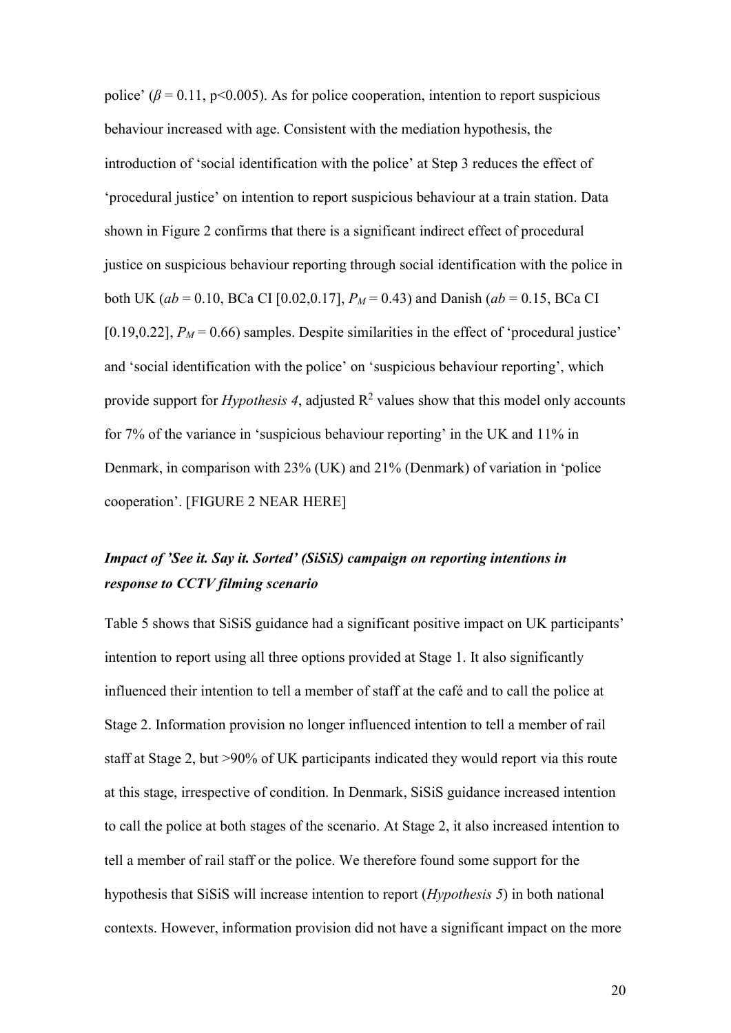police' ( $\beta$  = 0.11, p<0.005). As for police cooperation, intention to report suspicious behaviour increased with age. Consistent with the mediation hypothesis, the introduction of 'social identification with the police' at Step 3 reduces the effect of 'procedural justice' on intention to report suspicious behaviour at a train station. Data shown in Figure 2 confirms that there is a significant indirect effect of procedural justice on suspicious behaviour reporting through social identification with the police in both UK ( $ab = 0.10$ , BCa CI [0.02,0.17],  $P_M = 0.43$ ) and Danish ( $ab = 0.15$ , BCa CI [0.19,0.22],  $P_M$  = 0.66) samples. Despite similarities in the effect of 'procedural justice' and 'social identification with the police' on 'suspicious behaviour reporting', which provide support for *Hypothesis 4*, adjusted  $R^2$  values show that this model only accounts for 7% of the variance in 'suspicious behaviour reporting' in the UK and 11% in Denmark, in comparison with 23% (UK) and 21% (Denmark) of variation in 'police cooperation'. [FIGURE 2 NEAR HERE]

# *Impact of 'See it. Say it. Sorted' (SiSiS) campaign on reporting intentions in response to CCTV filming scenario*

Table 5 shows that SiSiS guidance had a significant positive impact on UK participants' intention to report using all three options provided at Stage 1. It also significantly influenced their intention to tell a member of staff at the café and to call the police at Stage 2. Information provision no longer influenced intention to tell a member of rail staff at Stage 2, but >90% of UK participants indicated they would report via this route at this stage, irrespective of condition. In Denmark, SiSiS guidance increased intention to call the police at both stages of the scenario. At Stage 2, it also increased intention to tell a member of rail staff or the police. We therefore found some support for the hypothesis that SiSiS will increase intention to report (*Hypothesis 5*) in both national contexts. However, information provision did not have a significant impact on the more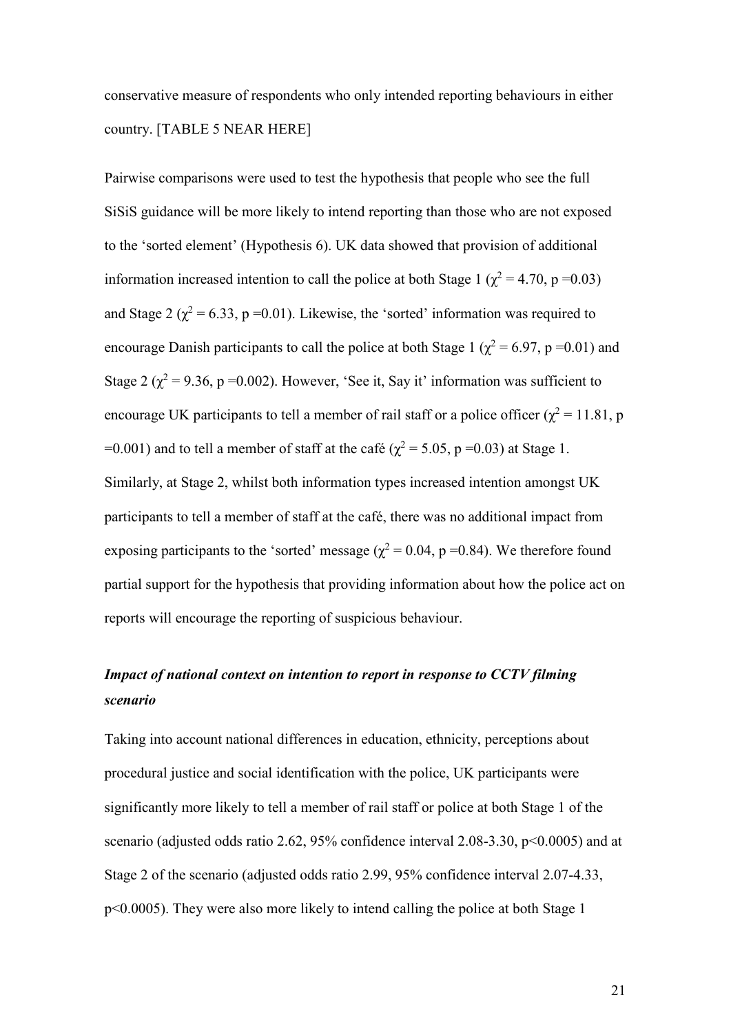conservative measure of respondents who only intended reporting behaviours in either country. [TABLE 5 NEAR HERE]

Pairwise comparisons were used to test the hypothesis that people who see the full SiSiS guidance will be more likely to intend reporting than those who are not exposed to the 'sorted element' (Hypothesis 6). UK data showed that provision of additional information increased intention to call the police at both Stage 1 ( $\chi^2$  = 4.70, p = 0.03) and Stage 2 ( $\chi^2$  = 6.33, p = 0.01). Likewise, the 'sorted' information was required to encourage Danish participants to call the police at both Stage 1 ( $\chi^2$  = 6.97, p = 0.01) and Stage 2 ( $\chi^2$  = 9.36, p = 0.002). However, 'See it, Say it' information was sufficient to encourage UK participants to tell a member of rail staff or a police officer ( $\chi^2$  = 11.81, p =0.001) and to tell a member of staff at the café ( $\chi^2$  = 5.05, p =0.03) at Stage 1. Similarly, at Stage 2, whilst both information types increased intention amongst UK participants to tell a member of staff at the café, there was no additional impact from exposing participants to the 'sorted' message ( $\chi^2$  = 0.04, p = 0.84). We therefore found partial support for the hypothesis that providing information about how the police act on reports will encourage the reporting of suspicious behaviour.

# *Impact of national context on intention to report in response to CCTV filming scenario*

Taking into account national differences in education, ethnicity, perceptions about procedural justice and social identification with the police, UK participants were significantly more likely to tell a member of rail staff or police at both Stage 1 of the scenario (adjusted odds ratio 2.62, 95% confidence interval 2.08-3.30, p<0.0005) and at Stage 2 of the scenario (adjusted odds ratio 2.99, 95% confidence interval 2.07-4.33, p<0.0005). They were also more likely to intend calling the police at both Stage 1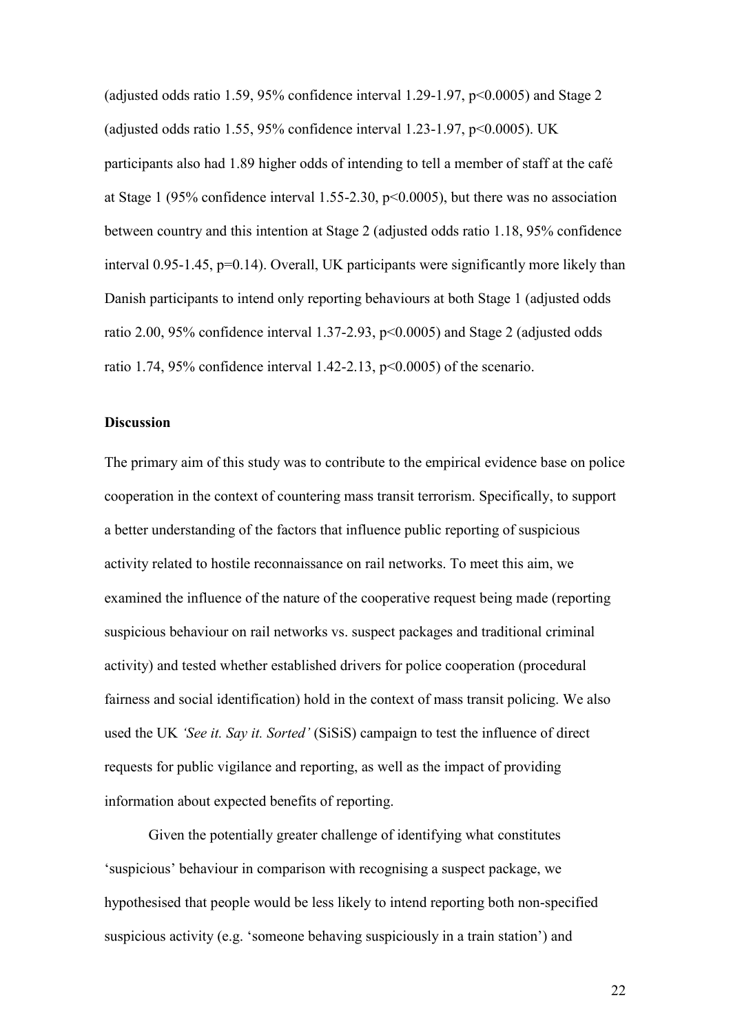(adjusted odds ratio 1.59, 95% confidence interval 1.29-1.97, p<0.0005) and Stage 2 (adjusted odds ratio 1.55, 95% confidence interval 1.23-1.97,  $p<0.0005$ ). UK participants also had 1.89 higher odds of intending to tell a member of staff at the café at Stage 1 (95% confidence interval 1.55-2.30, p<0.0005), but there was no association between country and this intention at Stage 2 (adjusted odds ratio 1.18, 95% confidence interval 0.95-1.45, p=0.14). Overall, UK participants were significantly more likely than Danish participants to intend only reporting behaviours at both Stage 1 (adjusted odds ratio 2.00, 95% confidence interval 1.37-2.93, p<0.0005) and Stage 2 (adjusted odds ratio 1.74, 95% confidence interval 1.42-2.13,  $p<0.0005$ ) of the scenario.

#### **Discussion**

The primary aim of this study was to contribute to the empirical evidence base on police cooperation in the context of countering mass transit terrorism. Specifically, to support a better understanding of the factors that influence public reporting of suspicious activity related to hostile reconnaissance on rail networks. To meet this aim, we examined the influence of the nature of the cooperative request being made (reporting suspicious behaviour on rail networks vs. suspect packages and traditional criminal activity) and tested whether established drivers for police cooperation (procedural fairness and social identification) hold in the context of mass transit policing. We also used the UK *'See it. Say it. Sorted'* (SiSiS) campaign to test the influence of direct requests for public vigilance and reporting, as well as the impact of providing information about expected benefits of reporting.

Given the potentially greater challenge of identifying what constitutes 'suspicious' behaviour in comparison with recognising a suspect package, we hypothesised that people would be less likely to intend reporting both non-specified suspicious activity (e.g. 'someone behaving suspiciously in a train station') and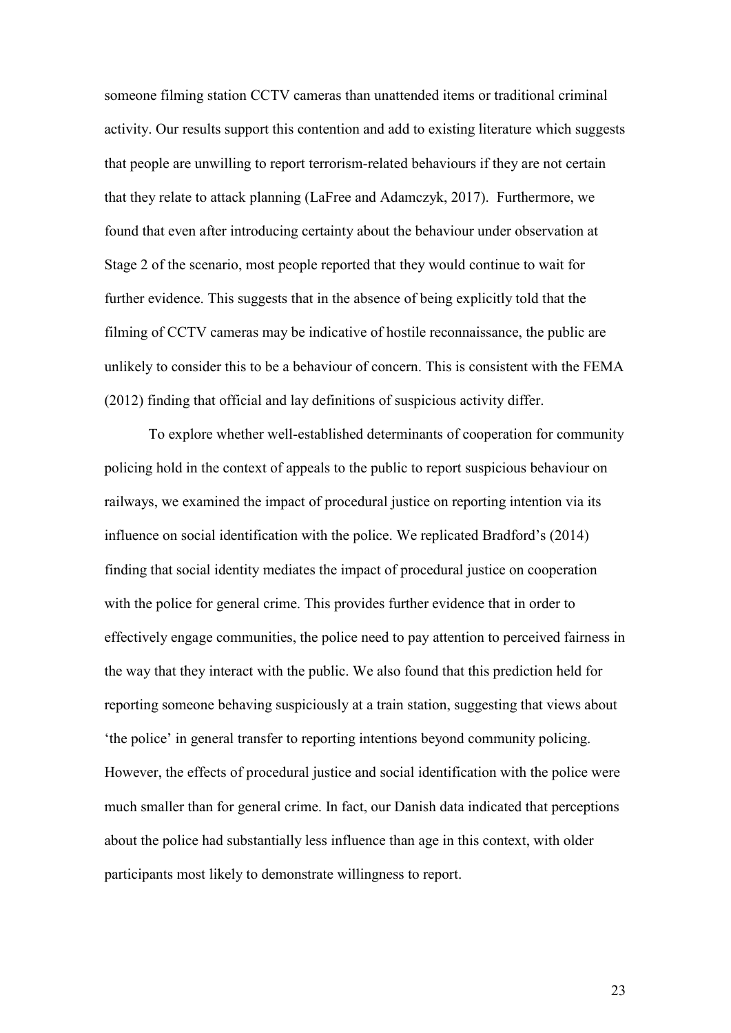someone filming station CCTV cameras than unattended items or traditional criminal activity. Our results support this contention and add to existing literature which suggests that people are unwilling to report terrorism-related behaviours if they are not certain that they relate to attack planning (LaFree and Adamczyk, 2017). Furthermore, we found that even after introducing certainty about the behaviour under observation at Stage 2 of the scenario, most people reported that they would continue to wait for further evidence. This suggests that in the absence of being explicitly told that the filming of CCTV cameras may be indicative of hostile reconnaissance, the public are unlikely to consider this to be a behaviour of concern. This is consistent with the FEMA (2012) finding that official and lay definitions of suspicious activity differ.

To explore whether well-established determinants of cooperation for community policing hold in the context of appeals to the public to report suspicious behaviour on railways, we examined the impact of procedural justice on reporting intention via its influence on social identification with the police. We replicated Bradford's (2014) finding that social identity mediates the impact of procedural justice on cooperation with the police for general crime. This provides further evidence that in order to effectively engage communities, the police need to pay attention to perceived fairness in the way that they interact with the public. We also found that this prediction held for reporting someone behaving suspiciously at a train station, suggesting that views about 'the police' in general transfer to reporting intentions beyond community policing. However, the effects of procedural justice and social identification with the police were much smaller than for general crime. In fact, our Danish data indicated that perceptions about the police had substantially less influence than age in this context, with older participants most likely to demonstrate willingness to report.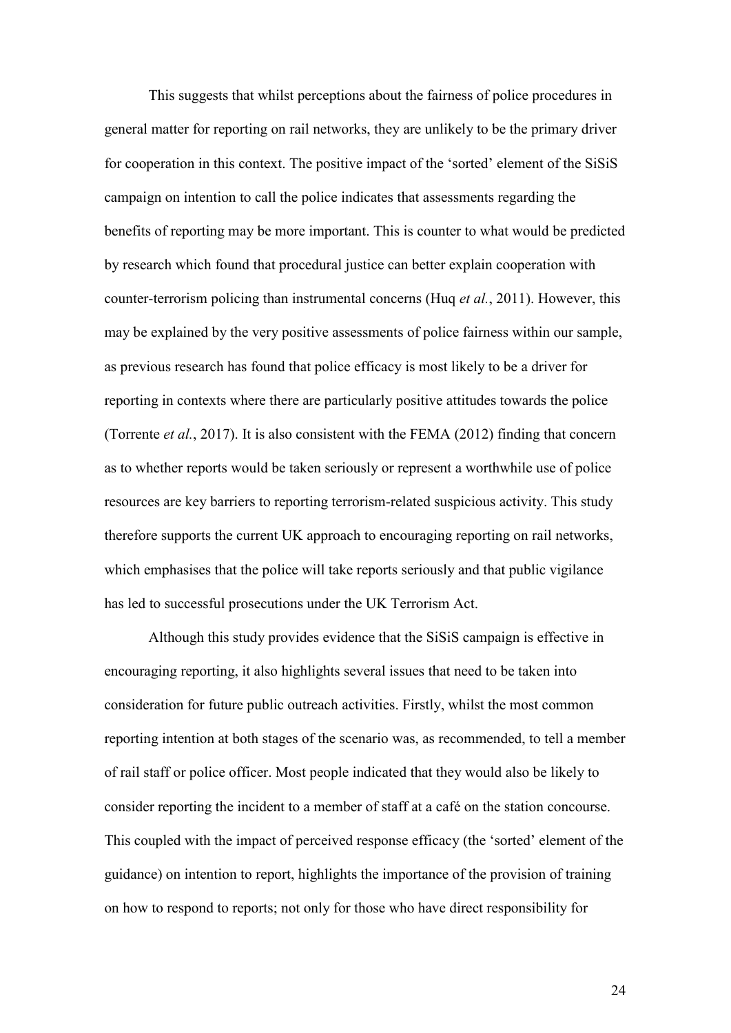This suggests that whilst perceptions about the fairness of police procedures in general matter for reporting on rail networks, they are unlikely to be the primary driver for cooperation in this context. The positive impact of the 'sorted' element of the SiSiS campaign on intention to call the police indicates that assessments regarding the benefits of reporting may be more important. This is counter to what would be predicted by research which found that procedural justice can better explain cooperation with counter-terrorism policing than instrumental concerns (Huq *et al.*, 2011). However, this may be explained by the very positive assessments of police fairness within our sample, as previous research has found that police efficacy is most likely to be a driver for reporting in contexts where there are particularly positive attitudes towards the police (Torrente *et al.*, 2017). It is also consistent with the FEMA (2012) finding that concern as to whether reports would be taken seriously or represent a worthwhile use of police resources are key barriers to reporting terrorism-related suspicious activity. This study therefore supports the current UK approach to encouraging reporting on rail networks, which emphasises that the police will take reports seriously and that public vigilance has led to successful prosecutions under the UK Terrorism Act.

Although this study provides evidence that the SiSiS campaign is effective in encouraging reporting, it also highlights several issues that need to be taken into consideration for future public outreach activities. Firstly, whilst the most common reporting intention at both stages of the scenario was, as recommended, to tell a member of rail staff or police officer. Most people indicated that they would also be likely to consider reporting the incident to a member of staff at a café on the station concourse. This coupled with the impact of perceived response efficacy (the 'sorted' element of the guidance) on intention to report, highlights the importance of the provision of training on how to respond to reports; not only for those who have direct responsibility for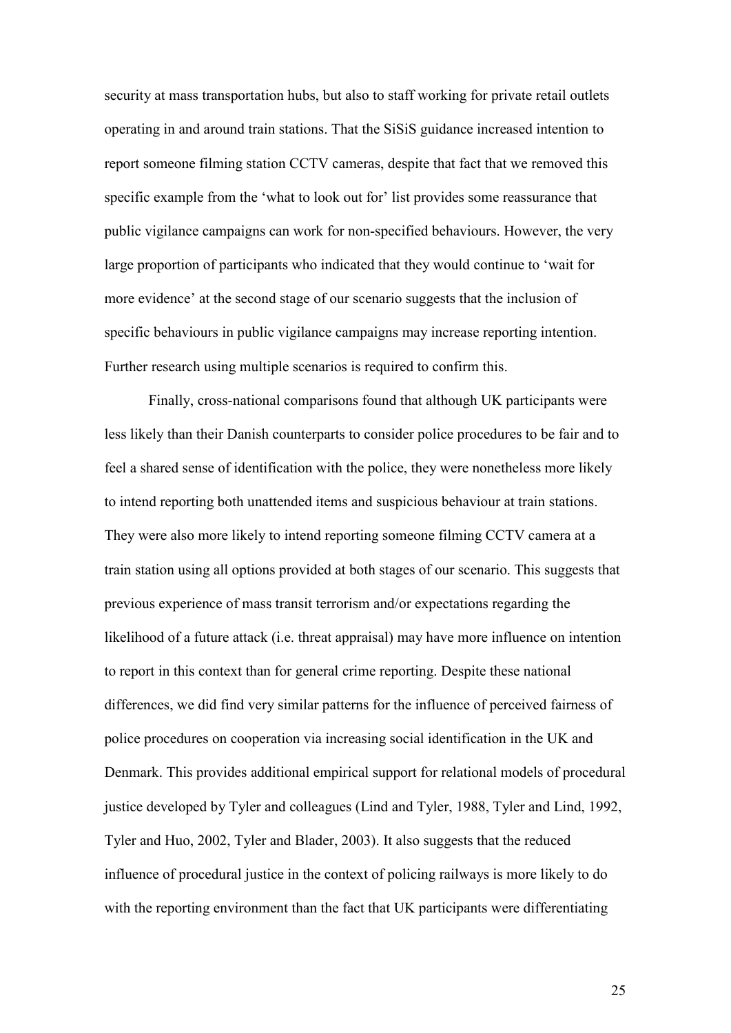security at mass transportation hubs, but also to staff working for private retail outlets operating in and around train stations. That the SiSiS guidance increased intention to report someone filming station CCTV cameras, despite that fact that we removed this specific example from the 'what to look out for' list provides some reassurance that public vigilance campaigns can work for non-specified behaviours. However, the very large proportion of participants who indicated that they would continue to 'wait for more evidence' at the second stage of our scenario suggests that the inclusion of specific behaviours in public vigilance campaigns may increase reporting intention. Further research using multiple scenarios is required to confirm this.

Finally, cross-national comparisons found that although UK participants were less likely than their Danish counterparts to consider police procedures to be fair and to feel a shared sense of identification with the police, they were nonetheless more likely to intend reporting both unattended items and suspicious behaviour at train stations. They were also more likely to intend reporting someone filming CCTV camera at a train station using all options provided at both stages of our scenario. This suggests that previous experience of mass transit terrorism and/or expectations regarding the likelihood of a future attack (i.e. threat appraisal) may have more influence on intention to report in this context than for general crime reporting. Despite these national differences, we did find very similar patterns for the influence of perceived fairness of police procedures on cooperation via increasing social identification in the UK and Denmark. This provides additional empirical support for relational models of procedural justice developed by Tyler and colleagues (Lind and Tyler, 1988, Tyler and Lind, 1992, Tyler and Huo, 2002, Tyler and Blader, 2003). It also suggests that the reduced influence of procedural justice in the context of policing railways is more likely to do with the reporting environment than the fact that UK participants were differentiating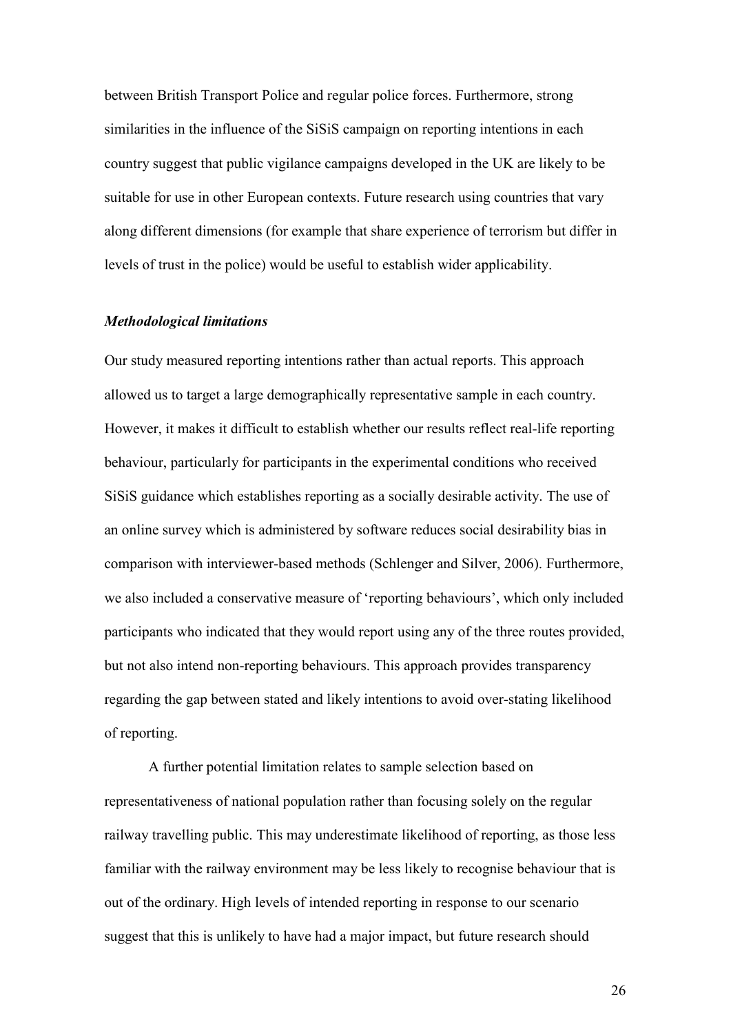between British Transport Police and regular police forces. Furthermore, strong similarities in the influence of the SiSiS campaign on reporting intentions in each country suggest that public vigilance campaigns developed in the UK are likely to be suitable for use in other European contexts. Future research using countries that vary along different dimensions (for example that share experience of terrorism but differ in levels of trust in the police) would be useful to establish wider applicability.

#### *Methodological limitations*

Our study measured reporting intentions rather than actual reports. This approach allowed us to target a large demographically representative sample in each country. However, it makes it difficult to establish whether our results reflect real-life reporting behaviour, particularly for participants in the experimental conditions who received SiSiS guidance which establishes reporting as a socially desirable activity. The use of an online survey which is administered by software reduces social desirability bias in comparison with interviewer-based methods (Schlenger and Silver, 2006). Furthermore, we also included a conservative measure of 'reporting behaviours', which only included participants who indicated that they would report using any of the three routes provided, but not also intend non-reporting behaviours. This approach provides transparency regarding the gap between stated and likely intentions to avoid over-stating likelihood of reporting.

A further potential limitation relates to sample selection based on representativeness of national population rather than focusing solely on the regular railway travelling public. This may underestimate likelihood of reporting, as those less familiar with the railway environment may be less likely to recognise behaviour that is out of the ordinary. High levels of intended reporting in response to our scenario suggest that this is unlikely to have had a major impact, but future research should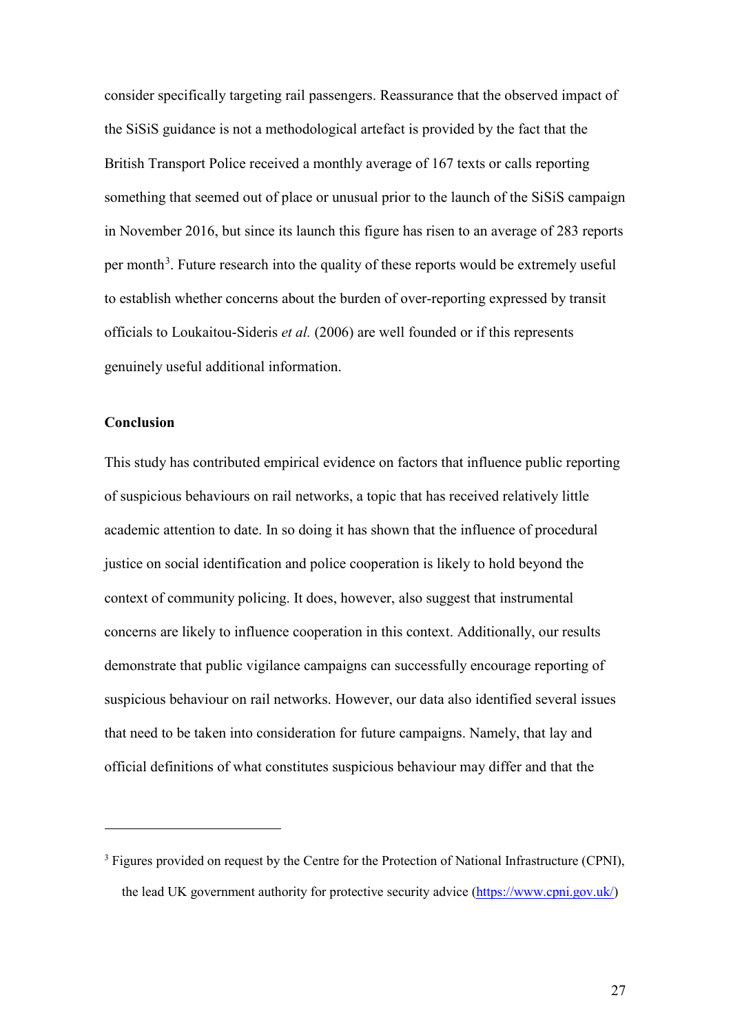consider specifically targeting rail passengers. Reassurance that the observed impact of the SiSiS guidance is not a methodological artefact is provided by the fact that the British Transport Police received a monthly average of 167 texts or calls reporting something that seemed out of place or unusual prior to the launch of the SiSiS campaign in November 2016, but since its launch this figure has risen to an average of 283 reports per month<sup>[3](#page-27-0)</sup>. Future research into the quality of these reports would be extremely useful to establish whether concerns about the burden of over-reporting expressed by transit officials to Loukaitou-Sideris *et al.* (2006) are well founded or if this represents genuinely useful additional information.

#### **Conclusion**

 $\overline{a}$ 

This study has contributed empirical evidence on factors that influence public reporting of suspicious behaviours on rail networks, a topic that has received relatively little academic attention to date. In so doing it has shown that the influence of procedural justice on social identification and police cooperation is likely to hold beyond the context of community policing. It does, however, also suggest that instrumental concerns are likely to influence cooperation in this context. Additionally, our results demonstrate that public vigilance campaigns can successfully encourage reporting of suspicious behaviour on rail networks. However, our data also identified several issues that need to be taken into consideration for future campaigns. Namely, that lay and official definitions of what constitutes suspicious behaviour may differ and that the

<span id="page-27-0"></span><sup>&</sup>lt;sup>3</sup> Figures provided on request by the Centre for the Protection of National Infrastructure (CPNI), the lead UK government authority for protective security advice [\(https://www.cpni.gov.uk/\)](https://www.cpni.gov.uk/)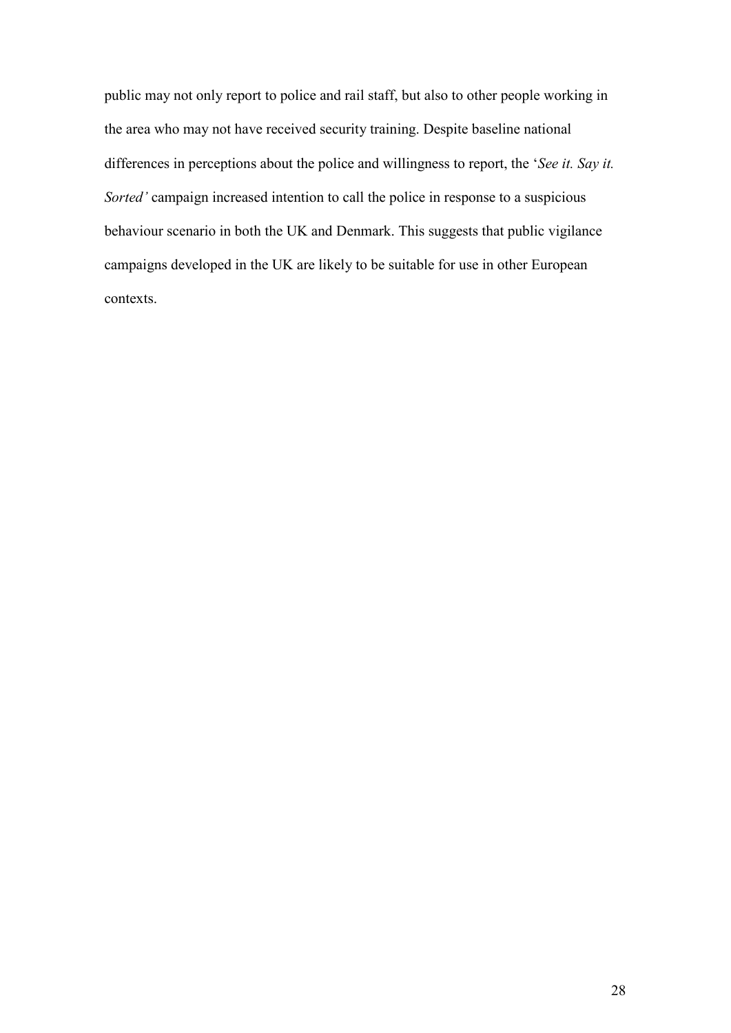public may not only report to police and rail staff, but also to other people working in the area who may not have received security training. Despite baseline national differences in perceptions about the police and willingness to report, the '*See it. Say it. Sorted'* campaign increased intention to call the police in response to a suspicious behaviour scenario in both the UK and Denmark. This suggests that public vigilance campaigns developed in the UK are likely to be suitable for use in other European contexts.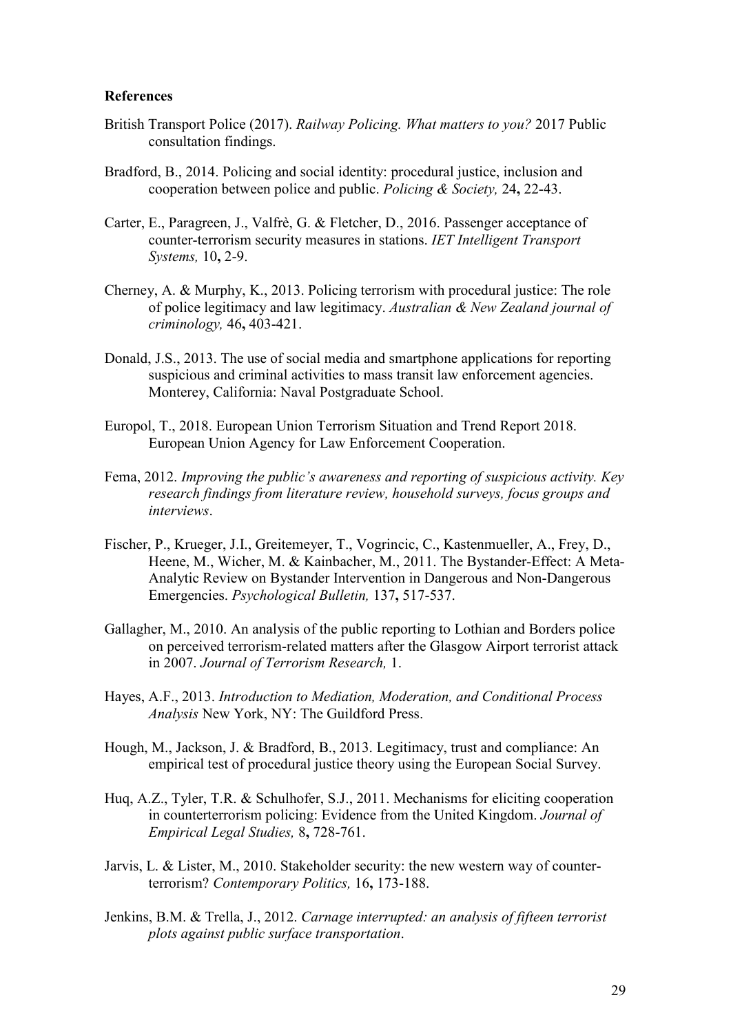#### **References**

- British Transport Police (2017). *Railway Policing. What matters to you?* 2017 Public consultation findings.
- Bradford, B., 2014. Policing and social identity: procedural justice, inclusion and cooperation between police and public. *Policing & Society,* 24**,** 22-43.
- Carter, E., Paragreen, J., Valfrè, G. & Fletcher, D., 2016. Passenger acceptance of counter-terrorism security measures in stations. *IET Intelligent Transport Systems,* 10**,** 2-9.
- Cherney, A. & Murphy, K., 2013. Policing terrorism with procedural justice: The role of police legitimacy and law legitimacy. *Australian & New Zealand journal of criminology,* 46**,** 403-421.
- Donald, J.S., 2013. The use of social media and smartphone applications for reporting suspicious and criminal activities to mass transit law enforcement agencies. Monterey, California: Naval Postgraduate School.
- Europol, T., 2018. European Union Terrorism Situation and Trend Report 2018. European Union Agency for Law Enforcement Cooperation.
- Fema, 2012. *Improving the public's awareness and reporting of suspicious activity. Key research findings from literature review, household surveys, focus groups and interviews*.
- Fischer, P., Krueger, J.I., Greitemeyer, T., Vogrincic, C., Kastenmueller, A., Frey, D., Heene, M., Wicher, M. & Kainbacher, M., 2011. The Bystander-Effect: A Meta-Analytic Review on Bystander Intervention in Dangerous and Non-Dangerous Emergencies. *Psychological Bulletin,* 137**,** 517-537.
- Gallagher, M., 2010. An analysis of the public reporting to Lothian and Borders police on perceived terrorism-related matters after the Glasgow Airport terrorist attack in 2007. *Journal of Terrorism Research,* 1.
- Hayes, A.F., 2013. *Introduction to Mediation, Moderation, and Conditional Process Analysis* New York, NY: The Guildford Press.
- Hough, M., Jackson, J. & Bradford, B., 2013. Legitimacy, trust and compliance: An empirical test of procedural justice theory using the European Social Survey.
- Huq, A.Z., Tyler, T.R. & Schulhofer, S.J., 2011. Mechanisms for eliciting cooperation in counterterrorism policing: Evidence from the United Kingdom. *Journal of Empirical Legal Studies,* 8**,** 728-761.
- Jarvis, L. & Lister, M., 2010. Stakeholder security: the new western way of counterterrorism? *Contemporary Politics,* 16**,** 173-188.
- Jenkins, B.M. & Trella, J., 2012. *Carnage interrupted: an analysis of fifteen terrorist plots against public surface transportation*.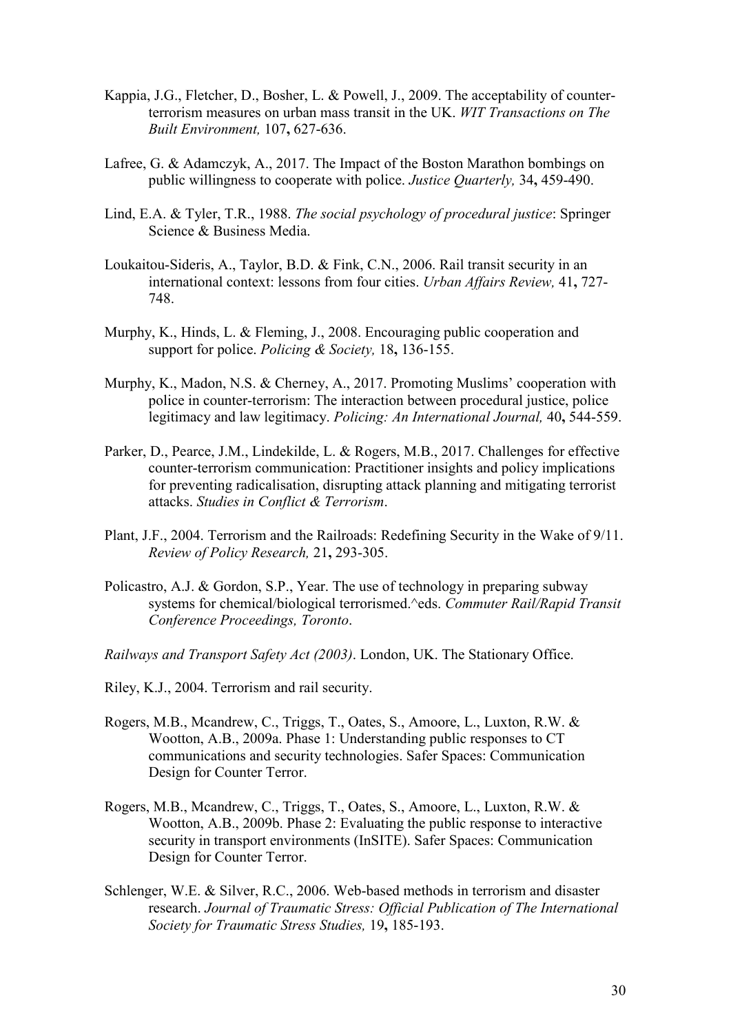- Kappia, J.G., Fletcher, D., Bosher, L. & Powell, J., 2009. The acceptability of counterterrorism measures on urban mass transit in the UK. *WIT Transactions on The Built Environment,* 107**,** 627-636.
- Lafree, G. & Adamczyk, A., 2017. The Impact of the Boston Marathon bombings on public willingness to cooperate with police. *Justice Quarterly,* 34**,** 459-490.
- Lind, E.A. & Tyler, T.R., 1988. *The social psychology of procedural justice*: Springer Science & Business Media.
- Loukaitou-Sideris, A., Taylor, B.D. & Fink, C.N., 2006. Rail transit security in an international context: lessons from four cities. *Urban Affairs Review,* 41**,** 727- 748.
- Murphy, K., Hinds, L. & Fleming, J., 2008. Encouraging public cooperation and support for police. *Policing & Society,* 18**,** 136-155.
- Murphy, K., Madon, N.S. & Cherney, A., 2017. Promoting Muslims' cooperation with police in counter-terrorism: The interaction between procedural justice, police legitimacy and law legitimacy. *Policing: An International Journal,* 40**,** 544-559.
- Parker, D., Pearce, J.M., Lindekilde, L. & Rogers, M.B., 2017. Challenges for effective counter-terrorism communication: Practitioner insights and policy implications for preventing radicalisation, disrupting attack planning and mitigating terrorist attacks. *Studies in Conflict & Terrorism*.
- Plant, J.F., 2004. Terrorism and the Railroads: Redefining Security in the Wake of 9/11. *Review of Policy Research,* 21**,** 293-305.
- Policastro, A.J. & Gordon, S.P., Year. The use of technology in preparing subway systems for chemical/biological terrorismed.^eds. *Commuter Rail/Rapid Transit Conference Proceedings, Toronto*.
- *Railways and Transport Safety Act (2003)*. London, UK. The Stationary Office.
- Riley, K.J., 2004. Terrorism and rail security.
- Rogers, M.B., Mcandrew, C., Triggs, T., Oates, S., Amoore, L., Luxton, R.W. & Wootton, A.B., 2009a. Phase 1: Understanding public responses to CT communications and security technologies. Safer Spaces: Communication Design for Counter Terror.
- Rogers, M.B., Mcandrew, C., Triggs, T., Oates, S., Amoore, L., Luxton, R.W. & Wootton, A.B., 2009b. Phase 2: Evaluating the public response to interactive security in transport environments (InSITE). Safer Spaces: Communication Design for Counter Terror.
- Schlenger, W.E. & Silver, R.C., 2006. Web-based methods in terrorism and disaster research. *Journal of Traumatic Stress: Official Publication of The International Society for Traumatic Stress Studies,* 19**,** 185-193.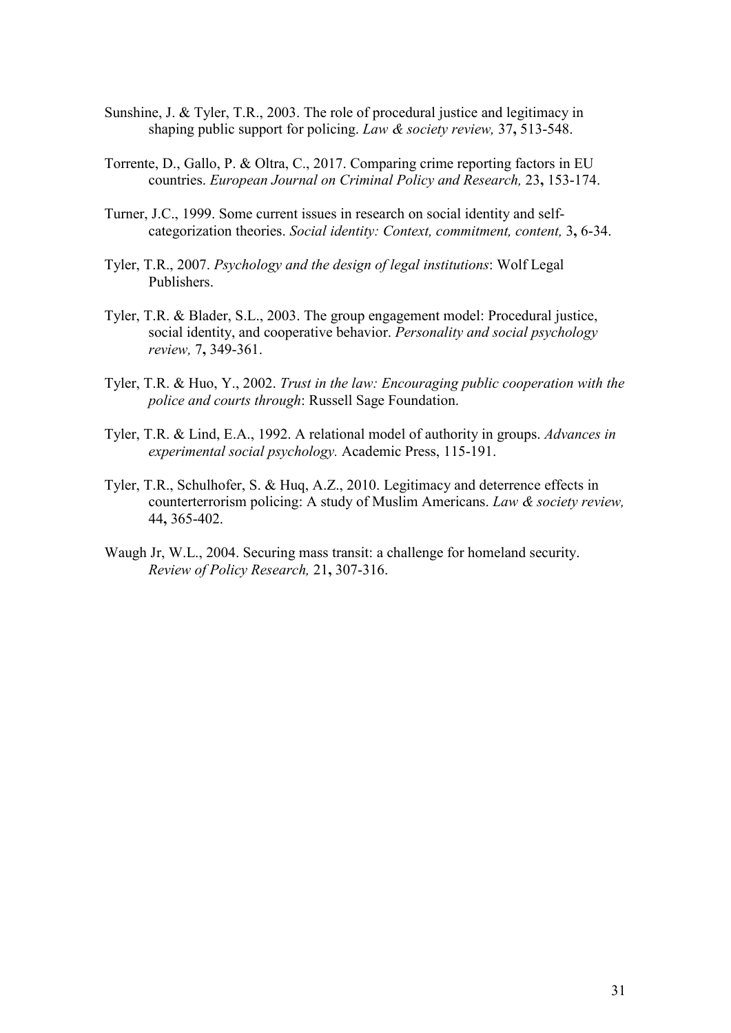- Sunshine, J. & Tyler, T.R., 2003. The role of procedural justice and legitimacy in shaping public support for policing. *Law & society review,* 37**,** 513-548.
- Torrente, D., Gallo, P. & Oltra, C., 2017. Comparing crime reporting factors in EU countries. *European Journal on Criminal Policy and Research,* 23**,** 153-174.
- Turner, J.C., 1999. Some current issues in research on social identity and selfcategorization theories. *Social identity: Context, commitment, content,* 3**,** 6-34.
- Tyler, T.R., 2007. *Psychology and the design of legal institutions*: Wolf Legal Publishers.
- Tyler, T.R. & Blader, S.L., 2003. The group engagement model: Procedural justice, social identity, and cooperative behavior. *Personality and social psychology review,* 7**,** 349-361.
- Tyler, T.R. & Huo, Y., 2002. *Trust in the law: Encouraging public cooperation with the police and courts through*: Russell Sage Foundation.
- Tyler, T.R. & Lind, E.A., 1992. A relational model of authority in groups. *Advances in experimental social psychology.* Academic Press, 115-191.
- Tyler, T.R., Schulhofer, S. & Huq, A.Z., 2010. Legitimacy and deterrence effects in counterterrorism policing: A study of Muslim Americans. *Law & society review,*  44**,** 365-402.
- Waugh Jr, W.L., 2004. Securing mass transit: a challenge for homeland security. *Review of Policy Research,* 21**,** 307-316.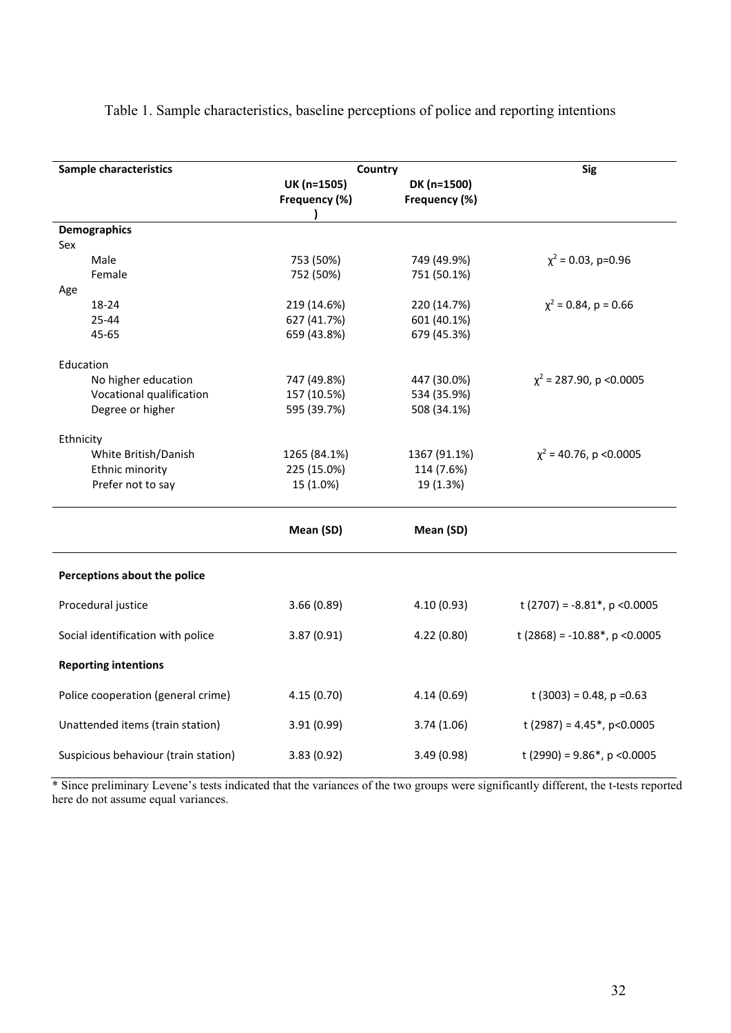| Sample characteristics               | Country                      | <b>Sig</b>                   |                                   |  |  |
|--------------------------------------|------------------------------|------------------------------|-----------------------------------|--|--|
|                                      | UK (n=1505)<br>Frequency (%) | DK (n=1500)<br>Frequency (%) |                                   |  |  |
| <b>Demographics</b>                  |                              |                              |                                   |  |  |
| Sex                                  |                              |                              |                                   |  |  |
| Male                                 | 753 (50%)                    | 749 (49.9%)                  | $\chi^2$ = 0.03, p=0.96           |  |  |
| Female                               | 752 (50%)                    | 751 (50.1%)                  |                                   |  |  |
| Age                                  |                              |                              |                                   |  |  |
| 18-24                                | 219 (14.6%)                  | 220 (14.7%)                  | $\chi^2$ = 0.84, p = 0.66         |  |  |
| 25-44                                | 627 (41.7%)                  | 601 (40.1%)                  |                                   |  |  |
| 45-65                                | 659 (43.8%)                  | 679 (45.3%)                  |                                   |  |  |
| Education                            |                              |                              |                                   |  |  |
| No higher education                  | 747 (49.8%)                  | 447 (30.0%)                  | $\chi^2$ = 287.90, p < 0.0005     |  |  |
| Vocational qualification             | 157 (10.5%)                  | 534 (35.9%)                  |                                   |  |  |
| Degree or higher                     | 595 (39.7%)                  | 508 (34.1%)                  |                                   |  |  |
| Ethnicity                            |                              |                              |                                   |  |  |
| White British/Danish                 | 1265 (84.1%)                 | 1367 (91.1%)                 | $\chi^2$ = 40.76, p < 0.0005      |  |  |
| Ethnic minority                      | 225 (15.0%)                  | 114 (7.6%)                   |                                   |  |  |
| Prefer not to say                    | 15 (1.0%)                    | 19 (1.3%)                    |                                   |  |  |
|                                      | Mean (SD)                    | Mean (SD)                    |                                   |  |  |
| Perceptions about the police         |                              |                              |                                   |  |  |
| Procedural justice                   | 3.66(0.89)                   | 4.10(0.93)                   | t (2707) = $-8.81^*$ , p < 0.0005 |  |  |
| Social identification with police    | 3.87(0.91)                   | 4.22 (0.80)                  | t (2868) = -10.88*, p < 0.0005    |  |  |
| <b>Reporting intentions</b>          |                              |                              |                                   |  |  |
| Police cooperation (general crime)   | 4.15(0.70)                   | 4.14(0.69)                   | t (3003) = 0.48, $p = 0.63$       |  |  |
| Unattended items (train station)     | 3.91 (0.99)                  | 3.74(1.06)                   | t (2987) = $4.45^*$ , p<0.0005    |  |  |
| Suspicious behaviour (train station) | 3.83(0.92)                   | 3.49(0.98)                   | t (2990) = $9.86^*$ , p < 0.0005  |  |  |

Table 1. Sample characteristics, baseline perceptions of police and reporting intentions

\* Since preliminary Levene's tests indicated that the variances of the two groups were significantly different, the t-tests reported here do not assume equal variances.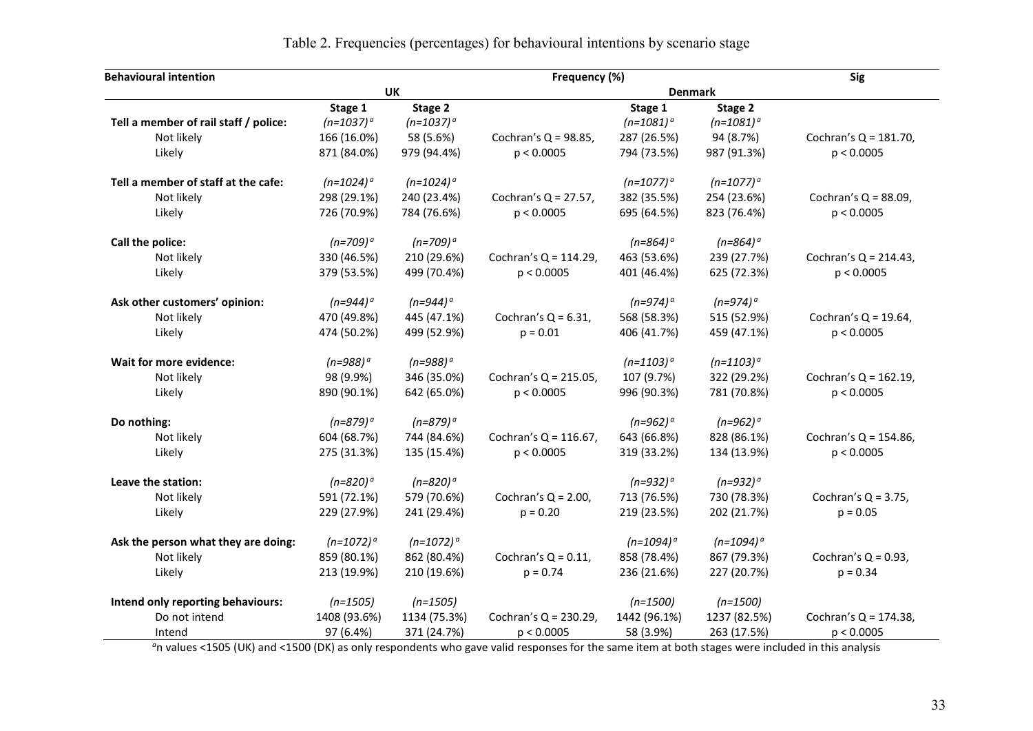| <b>Behavioural intention</b>          |                | Frequency (%)  |                          |                |                |                          |  |
|---------------------------------------|----------------|----------------|--------------------------|----------------|----------------|--------------------------|--|
|                                       |                | <b>UK</b>      |                          |                |                |                          |  |
|                                       | Stage 1        | Stage 2        |                          | Stage 1        | Stage 2        |                          |  |
| Tell a member of rail staff / police: | $(n=1037)^{a}$ | $(n=1037)^{a}$ |                          | $(n=1081)^{a}$ | $(n=1081)^{a}$ |                          |  |
| Not likely                            | 166 (16.0%)    | 58 (5.6%)      | Cochran's $Q = 98.85$ ,  | 287 (26.5%)    | 94 (8.7%)      | Cochran's $Q = 181.70$ , |  |
| Likely                                | 871 (84.0%)    | 979 (94.4%)    | p < 0.0005               | 794 (73.5%)    | 987 (91.3%)    | p < 0.0005               |  |
| Tell a member of staff at the cafe:   | $(n=1024)^{a}$ | $(n=1024)^{a}$ |                          | $(n=1077)^{a}$ | $(n=1077)^{a}$ |                          |  |
| Not likely                            | 298 (29.1%)    | 240 (23.4%)    | Cochran's $Q = 27.57$ ,  | 382 (35.5%)    | 254 (23.6%)    | Cochran's $Q = 88.09$ ,  |  |
| Likely                                | 726 (70.9%)    | 784 (76.6%)    | p < 0.0005               | 695 (64.5%)    | 823 (76.4%)    | p < 0.0005               |  |
| Call the police:                      | $(n=709)^{a}$  | $(n=709)^{o}$  |                          | $(n=864)^{o}$  | $(n=864)^{o}$  |                          |  |
| Not likely                            | 330 (46.5%)    | 210 (29.6%)    | Cochran's $Q = 114.29$ , | 463 (53.6%)    | 239 (27.7%)    | Cochran's $Q = 214.43$ , |  |
| Likely                                | 379 (53.5%)    | 499 (70.4%)    | p < 0.0005               | 401 (46.4%)    | 625 (72.3%)    | p < 0.0005               |  |
| Ask other customers' opinion:         | $(n=944)^{o}$  | $(n=944)^{a}$  |                          | $(n=974)^{o}$  | $(n=974)^{o}$  |                          |  |
| Not likely                            | 470 (49.8%)    | 445 (47.1%)    | Cochran's $Q = 6.31$ ,   | 568 (58.3%)    | 515 (52.9%)    | Cochran's $Q = 19.64$ ,  |  |
| Likely                                | 474 (50.2%)    | 499 (52.9%)    | $p = 0.01$               | 406 (41.7%)    | 459 (47.1%)    | p < 0.0005               |  |
| Wait for more evidence:               | $(n=988)^{a}$  | $(n=988)^{o}$  |                          | $(n=1103)^{a}$ | $(n=1103)^{a}$ |                          |  |
| Not likely                            | 98 (9.9%)      | 346 (35.0%)    | Cochran's $Q = 215.05$ , | 107 (9.7%)     | 322 (29.2%)    | Cochran's $Q = 162.19$ , |  |
| Likely                                | 890 (90.1%)    | 642 (65.0%)    | p < 0.0005               | 996 (90.3%)    | 781 (70.8%)    | p < 0.0005               |  |
| Do nothing:                           | $(n=879)^{o}$  | $(n=879)^{o}$  |                          | $(n=962)^{a}$  | $(n=962)^{o}$  |                          |  |
| Not likely                            | 604 (68.7%)    | 744 (84.6%)    | Cochran's $Q = 116.67$ , | 643 (66.8%)    | 828 (86.1%)    | Cochran's $Q = 154.86$ , |  |
| Likely                                | 275 (31.3%)    | 135 (15.4%)    | p < 0.0005               | 319 (33.2%)    | 134 (13.9%)    | p < 0.0005               |  |
| Leave the station:                    | $(n=820)^{a}$  | $(n=820)^{o}$  |                          | $(n=932)^{o}$  | $(n=932)^{a}$  |                          |  |
| Not likely                            | 591 (72.1%)    | 579 (70.6%)    | Cochran's $Q = 2.00$ ,   | 713 (76.5%)    | 730 (78.3%)    | Cochran's $Q = 3.75$ ,   |  |
| Likely                                | 229 (27.9%)    | 241 (29.4%)    | $p = 0.20$               | 219 (23.5%)    | 202 (21.7%)    | $p = 0.05$               |  |
| Ask the person what they are doing:   | $(n=1072)^{o}$ | $(n=1072)^{a}$ |                          | $(n=1094)^{a}$ | $(n=1094)^{a}$ |                          |  |
| Not likely                            | 859 (80.1%)    | 862 (80.4%)    | Cochran's $Q = 0.11$ ,   | 858 (78.4%)    | 867 (79.3%)    | Cochran's $Q = 0.93$ ,   |  |
| Likely                                | 213 (19.9%)    | 210 (19.6%)    | $p = 0.74$               | 236 (21.6%)    | 227 (20.7%)    | $p = 0.34$               |  |
| Intend only reporting behaviours:     | $(n=1505)$     | $(n=1505)$     |                          | $(n=1500)$     | $(n=1500)$     |                          |  |
| Do not intend                         | 1408 (93.6%)   | 1134 (75.3%)   | Cochran's $Q = 230.29$ , | 1442 (96.1%)   | 1237 (82.5%)   | Cochran's $Q = 174.38$ , |  |
| Intend                                | 97 (6.4%)      | 371 (24.7%)    | p < 0.0005               | 58 (3.9%)      | 263 (17.5%)    | p < 0.0005               |  |

# Table 2. Frequencies (percentages) for behavioural intentions by scenario stage

*a* n values <1505 (UK) and <1500 (DK) as only respondents who gave valid responses for the same item at both stages were included in this analysis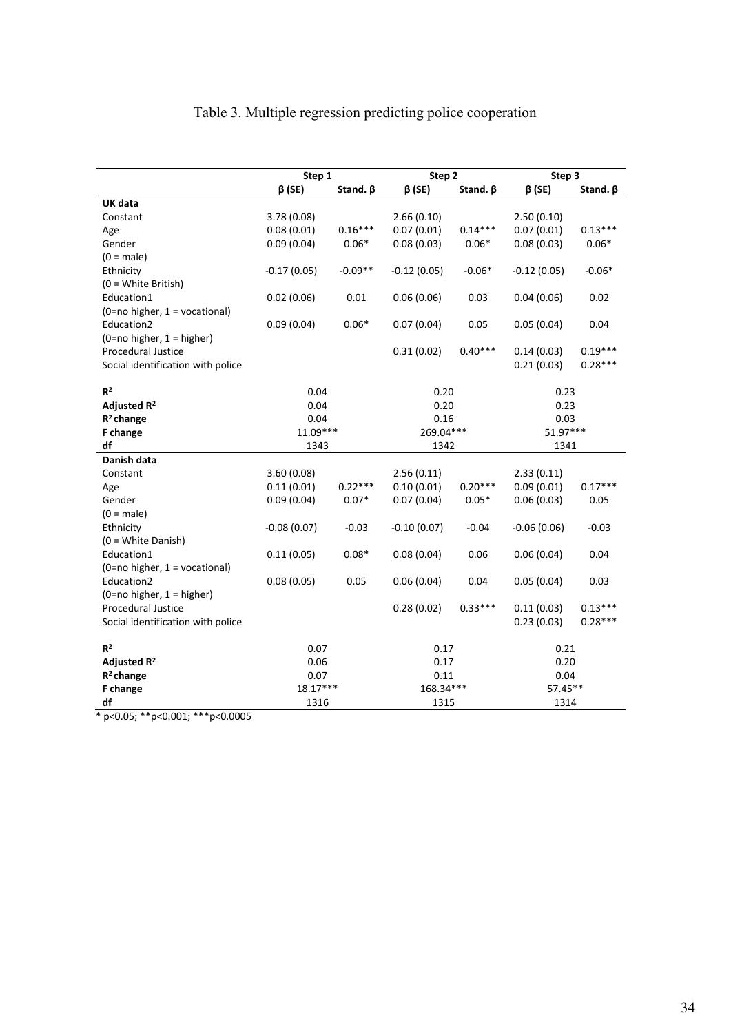# Table 3. Multiple regression predicting police cooperation

|                                   | Step 1                         |           | Step 2        |                | Step 3        |                |  |
|-----------------------------------|--------------------------------|-----------|---------------|----------------|---------------|----------------|--|
|                                   | $\beta$ (SE)<br>Stand. $\beta$ |           | $\beta$ (SE)  | Stand. $\beta$ |               | Stand. $\beta$ |  |
| UK data                           |                                |           |               |                |               |                |  |
| Constant                          | 3.78(0.08)                     |           | 2.66(0.10)    |                | 2.50(0.10)    |                |  |
| Age                               | 0.08(0.01)                     | $0.16***$ | 0.07(0.01)    | $0.14***$      | 0.07(0.01)    | $0.13***$      |  |
| Gender                            | 0.09(0.04)                     | $0.06*$   | 0.08(0.03)    | $0.06*$        | 0.08(0.03)    | $0.06*$        |  |
| $(0 = male)$                      |                                |           |               |                |               |                |  |
| Ethnicity                         | $-0.17(0.05)$                  | $-0.09**$ | $-0.12(0.05)$ | $-0.06*$       | $-0.12(0.05)$ | $-0.06*$       |  |
| (0 = White British)               |                                |           |               |                |               |                |  |
| Education1                        | 0.02(0.06)                     | 0.01      | 0.06(0.06)    | 0.03           | 0.04(0.06)    | 0.02           |  |
| (0=no higher, 1 = vocational)     |                                |           |               |                |               |                |  |
| Education2                        | 0.09(0.04)                     | $0.06*$   | 0.07(0.04)    | 0.05           | 0.05(0.04)    | 0.04           |  |
| $(0=no$ higher, $1 = higher$ )    |                                |           |               |                |               |                |  |
| <b>Procedural Justice</b>         |                                |           | 0.31(0.02)    | $0.40***$      | 0.14(0.03)    | $0.19***$      |  |
| Social identification with police |                                |           |               |                | 0.21(0.03)    | $0.28***$      |  |
|                                   |                                |           |               |                |               |                |  |
| $R^2$                             | 0.04                           |           | 0.20          |                | 0.23          |                |  |
| Adjusted R <sup>2</sup>           | 0.04                           |           | 0.20          |                | 0.23          |                |  |
| $R2$ change                       | 0.04                           |           | 0.16          |                | 0.03          |                |  |
| F change                          | $11.09***$                     |           | 269.04***     |                | 51.97***      |                |  |
| df                                | 1343                           |           | 1342          |                | 1341          |                |  |
| Danish data                       |                                |           |               |                |               |                |  |
| Constant                          | 3.60(0.08)                     |           | 2.56(0.11)    |                | 2.33(0.11)    |                |  |
| Age                               | 0.11(0.01)                     | $0.22***$ | 0.10(0.01)    | $0.20***$      | 0.09(0.01)    | $0.17***$      |  |
| Gender                            | 0.09(0.04)                     | $0.07*$   | 0.07(0.04)    | $0.05*$        | 0.06(0.03)    | 0.05           |  |
| $(0 = male)$                      |                                |           |               |                |               |                |  |
| Ethnicity                         | $-0.08(0.07)$                  | $-0.03$   | $-0.10(0.07)$ | $-0.04$        | $-0.06(0.06)$ | $-0.03$        |  |
| (0 = White Danish)                |                                |           |               |                |               |                |  |
| Education1                        | 0.11(0.05)                     | $0.08*$   | 0.08(0.04)    | 0.06           | 0.06(0.04)    | 0.04           |  |
| $(0=no$ higher, $1=vocational)$   |                                |           |               |                |               |                |  |
| Education2                        | 0.08(0.05)                     | 0.05      | 0.06(0.04)    | 0.04           | 0.05(0.04)    | 0.03           |  |
| $(0=no$ higher, $1 = higher$ )    |                                |           |               |                |               |                |  |
| <b>Procedural Justice</b>         |                                |           | 0.28(0.02)    | $0.33***$      | 0.11(0.03)    | $0.13***$      |  |
| Social identification with police |                                |           |               |                | 0.23(0.03)    | $0.28***$      |  |
|                                   |                                |           |               |                |               |                |  |
| R <sup>2</sup>                    | 0.07                           |           | 0.17          |                | 0.21          |                |  |
| Adjusted R <sup>2</sup>           | 0.06                           |           | 0.17          |                | 0.20          |                |  |
| $R2$ change                       | 0.07                           |           | 0.11          |                | 0.04          |                |  |
| F change                          | $18.17***$                     |           | 168.34***     |                | $57.45**$     |                |  |
| df                                | 1316                           |           | 1315          |                | 1314          |                |  |

\* p<0.05; \*\*p<0.001; \*\*\*p<0.0005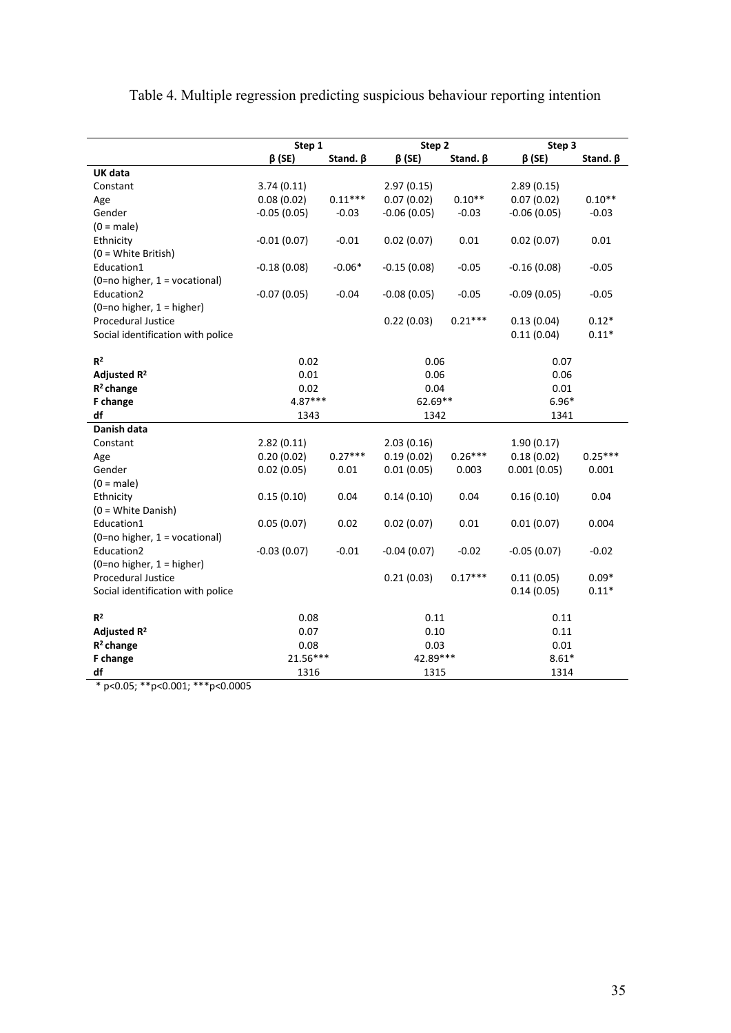|                                   | Step 1        |                | Step 2        |                | Step 3        |                |
|-----------------------------------|---------------|----------------|---------------|----------------|---------------|----------------|
|                                   | $\beta$ (SE)  | Stand. $\beta$ | $\beta$ (SE)  | Stand. $\beta$ | $\beta$ (SE)  | Stand. $\beta$ |
| UK data                           |               |                |               |                |               |                |
| Constant                          | 3.74(0.11)    |                | 2.97(0.15)    |                | 2.89(0.15)    |                |
| Age                               | 0.08(0.02)    | $0.11***$      | 0.07(0.02)    | $0.10**$       | 0.07(0.02)    | $0.10**$       |
| Gender                            | $-0.05(0.05)$ | $-0.03$        | $-0.06(0.05)$ | $-0.03$        | $-0.06(0.05)$ | $-0.03$        |
| $(0 = male)$                      |               |                |               |                |               |                |
| Ethnicity                         | $-0.01(0.07)$ | $-0.01$        | 0.02(0.07)    | 0.01           | 0.02(0.07)    | 0.01           |
| (0 = White British)               |               |                |               |                |               |                |
| Education1                        | $-0.18(0.08)$ | $-0.06*$       | $-0.15(0.08)$ | $-0.05$        | $-0.16(0.08)$ | $-0.05$        |
| (0=no higher, 1 = vocational)     |               |                |               |                |               |                |
| Education2                        | $-0.07(0.05)$ | $-0.04$        | $-0.08(0.05)$ | $-0.05$        | $-0.09(0.05)$ | $-0.05$        |
| $(0=no$ higher, $1 = higher$ )    |               |                |               |                |               |                |
| <b>Procedural Justice</b>         |               |                | 0.22(0.03)    | $0.21***$      | 0.13(0.04)    | $0.12*$        |
| Social identification with police |               |                |               |                | 0.11(0.04)    | $0.11*$        |
|                                   |               |                |               |                |               |                |
| R <sup>2</sup>                    | 0.02          |                | 0.06          |                | 0.07          |                |
| Adjusted R <sup>2</sup>           | 0.01          |                | 0.06          |                | 0.06          |                |
| $R2$ change                       | 0.02          |                | 0.04          |                | 0.01          |                |
| F change                          | 4.87***       |                | 62.69**       |                | $6.96*$       |                |
| df                                | 1343          |                | 1342          |                | 1341          |                |
| Danish data                       |               |                |               |                |               |                |
| Constant                          | 2.82(0.11)    |                | 2.03(0.16)    |                | 1.90(0.17)    |                |
| Age                               | 0.20(0.02)    | $0.27***$      | 0.19(0.02)    | $0.26***$      | 0.18(0.02)    | $0.25***$      |
| Gender                            | 0.02(0.05)    | 0.01           | 0.01(0.05)    | 0.003          | 0.001(0.05)   | 0.001          |
| $(0 = male)$                      |               |                |               |                |               |                |
| Ethnicity                         | 0.15(0.10)    | 0.04           | 0.14(0.10)    | 0.04           | 0.16(0.10)    | 0.04           |
| $(0 = White Danish)$              |               |                |               |                |               |                |
| Education1                        | 0.05(0.07)    | 0.02           | 0.02(0.07)    | 0.01           | 0.01(0.07)    | 0.004          |
| (0=no higher, 1 = vocational)     |               |                |               |                |               |                |
| Education2                        | $-0.03(0.07)$ | $-0.01$        | $-0.04(0.07)$ | $-0.02$        | $-0.05(0.07)$ | $-0.02$        |
| $(0=no$ higher, $1 = higher$ )    |               |                |               |                |               |                |
| <b>Procedural Justice</b>         |               |                | 0.21(0.03)    | $0.17***$      | 0.11(0.05)    | $0.09*$        |
| Social identification with police |               |                |               |                | 0.14(0.05)    | $0.11*$        |
|                                   |               |                |               |                |               |                |
| $R^2$                             | 0.08          |                | 0.11          |                | 0.11          |                |
| Adjusted R <sup>2</sup>           | 0.07          |                | 0.10          |                | 0.11          |                |
| $R^2$ change                      | 0.08          |                | 0.03          |                | 0.01          |                |
| F change                          | 21.56***      |                | 42.89***      |                | $8.61*$       |                |
| df                                | 1316          |                | 1315          |                | 1314          |                |

Table 4. Multiple regression predicting suspicious behaviour reporting intention

\* p<0.05; \*\*p<0.001; \*\*\*p<0.0005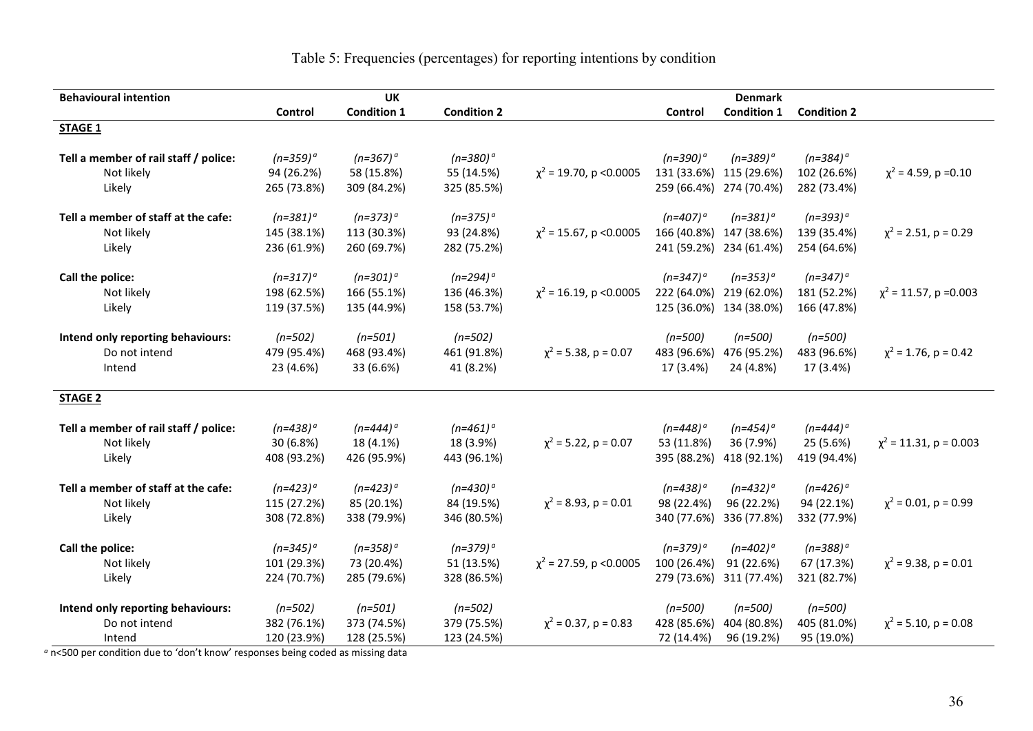Table 5: Frequencies (percentages) for reporting intentions by condition

| <b>Behavioural intention</b>          |               | <b>UK</b>          |                    |                              |                        | <b>Denmark</b>     |                    |                             |
|---------------------------------------|---------------|--------------------|--------------------|------------------------------|------------------------|--------------------|--------------------|-----------------------------|
|                                       | Control       | <b>Condition 1</b> | <b>Condition 2</b> |                              | Control                | <b>Condition 1</b> | <b>Condition 2</b> |                             |
| <b>STAGE 1</b>                        |               |                    |                    |                              |                        |                    |                    |                             |
|                                       |               |                    |                    |                              |                        |                    |                    |                             |
| Tell a member of rail staff / police: | $(n=359)^{a}$ | $(n=367)^{o}$      | $(n=380)^{a}$      |                              | $(n=390)$ <sup>a</sup> | $(n=389)^{o}$      | $(n=384)^{a}$      |                             |
| Not likely                            | 94 (26.2%)    | 58 (15.8%)         | 55 (14.5%)         | $\chi^2$ = 19.70, p < 0.0005 | 131 (33.6%)            | 115 (29.6%)        | 102 (26.6%)        | $\chi^2$ = 4.59, p = 0.10   |
| Likely                                | 265 (73.8%)   | 309 (84.2%)        | 325 (85.5%)        |                              | 259 (66.4%)            | 274 (70.4%)        | 282 (73.4%)        |                             |
| Tell a member of staff at the cafe:   | $(n=381)^{a}$ | $(n=373)^{a}$      | $(n=375)^{a}$      |                              | $(n=407)$ <sup>a</sup> | $(n=381)^{o}$      | $(n=393)^{a}$      |                             |
| Not likely                            | 145 (38.1%)   | 113 (30.3%)        | 93 (24.8%)         | $\chi^2$ = 15.67, p < 0.0005 | 166 (40.8%)            | 147 (38.6%)        | 139 (35.4%)        | $\chi^2$ = 2.51, p = 0.29   |
| Likely                                | 236 (61.9%)   | 260 (69.7%)        | 282 (75.2%)        |                              | 241 (59.2%)            | 234 (61.4%)        | 254 (64.6%)        |                             |
| Call the police:                      | $(n=317)^{a}$ | $(n=301)^{a}$      | $(n=294)^{a}$      |                              | $(n=347)$ <sup>a</sup> | $(n=353)^{a}$      | $(n=347)^{a}$      |                             |
| Not likely                            | 198 (62.5%)   | 166 (55.1%)        | 136 (46.3%)        | $\chi^2$ = 16.19, p < 0.0005 | 222 (64.0%)            | 219 (62.0%)        | 181 (52.2%)        | $\chi^2$ = 11.57, p = 0.003 |
| Likely                                | 119 (37.5%)   | 135 (44.9%)        | 158 (53.7%)        |                              | 125 (36.0%)            | 134 (38.0%)        | 166 (47.8%)        |                             |
|                                       |               |                    |                    |                              |                        |                    |                    |                             |
| Intend only reporting behaviours:     | $(n=502)$     | $(n=501)$          | $(n=502)$          |                              | $(n=500)$              | $(n=500)$          | $(n=500)$          |                             |
| Do not intend                         | 479 (95.4%)   | 468 (93.4%)        | 461 (91.8%)        | $\chi^2$ = 5.38, p = 0.07    | 483 (96.6%)            | 476 (95.2%)        | 483 (96.6%)        | $\chi^2$ = 1.76, p = 0.42   |
| Intend                                | 23 (4.6%)     | 33 (6.6%)          | 41 (8.2%)          |                              | 17 (3.4%)              | 24 (4.8%)          | 17 (3.4%)          |                             |
|                                       |               |                    |                    |                              |                        |                    |                    |                             |
| <b>STAGE 2</b>                        |               |                    |                    |                              |                        |                    |                    |                             |
| Tell a member of rail staff / police: | $(n=438)^{a}$ | $(n=444)^{o}$      | $(n=461)^{a}$      |                              | $(n=448)^{a}$          | $(n=454)^{o}$      | $(n=444)^{a}$      |                             |
| Not likely                            | 30 (6.8%)     | 18 (4.1%)          | 18 (3.9%)          | $\chi^2$ = 5.22, p = 0.07    | 53 (11.8%)             | 36 (7.9%)          | 25 (5.6%)          | $\chi^2$ = 11.31, p = 0.003 |
| Likely                                | 408 (93.2%)   | 426 (95.9%)        | 443 (96.1%)        |                              | 395 (88.2%)            | 418 (92.1%)        | 419 (94.4%)        |                             |
|                                       |               |                    |                    |                              |                        |                    |                    |                             |
| Tell a member of staff at the cafe:   | $(n=423)^{a}$ | $(n=423)^{a}$      | $(n=430)^{a}$      |                              | $(n=438)^{o}$          | $(n=432)^{a}$      | $(n=426)^{a}$      |                             |
| Not likely                            | 115 (27.2%)   | 85 (20.1%)         | 84 (19.5%)         | $\chi^2$ = 8.93, p = 0.01    | 98 (22.4%)             | 96 (22.2%)         | 94 (22.1%)         | $\chi^2$ = 0.01, p = 0.99   |
| Likely                                | 308 (72.8%)   | 338 (79.9%)        | 346 (80.5%)        |                              | 340 (77.6%)            | 336 (77.8%)        | 332 (77.9%)        |                             |
| Call the police:                      | $(n=345)^{a}$ | $(n=358)^{o}$      | $(n=379)^{a}$      |                              | $(n=379)^{o}$          | $(n=402)^{a}$      | $(n=388)^{a}$      |                             |
| Not likely                            | 101 (29.3%)   | 73 (20.4%)         | 51 (13.5%)         | $\chi^2$ = 27.59, p < 0.0005 | 100 (26.4%)            | 91 (22.6%)         | 67 (17.3%)         | $\chi^2$ = 9.38, p = 0.01   |
| Likely                                | 224 (70.7%)   | 285 (79.6%)        | 328 (86.5%)        |                              | 279 (73.6%)            | 311 (77.4%)        | 321 (82.7%)        |                             |
| Intend only reporting behaviours:     | $(n=502)$     | $(n=501)$          | $(n=502)$          |                              | $(n=500)$              | $(n=500)$          | $(n=500)$          |                             |
| Do not intend                         | 382 (76.1%)   | 373 (74.5%)        | 379 (75.5%)        | $\chi^2$ = 0.37, p = 0.83    | 428 (85.6%)            | 404 (80.8%)        | 405 (81.0%)        | $\chi^2$ = 5.10, p = 0.08   |
| Intend                                | 120 (23.9%)   | 128 (25.5%)        | 123 (24.5%)        |                              | 72 (14.4%)             | 96 (19.2%)         | 95 (19.0%)         |                             |
|                                       |               |                    |                    |                              |                        |                    |                    |                             |

*<sup>a</sup>* n<500 per condition due to 'don't know' responses being coded as missing data